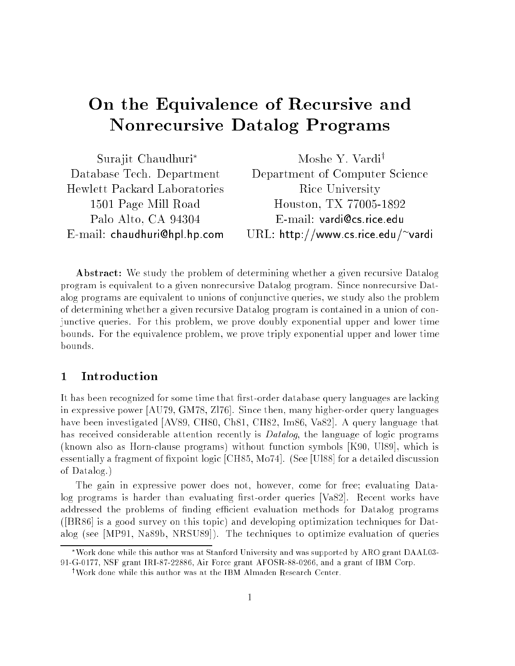# On the Equivalence of Recursive and Nonrecursive Datalog Programs

| Surajit Chaudhuri*                  | Moshe Y. Vardi <sup>†</sup>        |
|-------------------------------------|------------------------------------|
| Database Tech. Department           | Department of Computer Science     |
| <b>Hewlett Packard Laboratories</b> | Rice University                    |
| 1501 Page Mill Road                 | Houston, TX 77005-1892             |
| Palo Alto, CA 94304                 | $E$ -mail: vardi@cs.rice.edu       |
| $E$ -mail: chaudhuri@hpl.hp.com     | URL: http://www.cs.rice.edu/~vardi |

**Abstract:** We study the problem of determining whether a given recursive Datalog program is equivalent to a given nonrecursive Datalog program. Since nonrecursive Datalog programs are equivalent to unions of conjunctive queries, we study also the problem of determining whether a given recursive Datalog program is contained in a union of conjunctive queries. For this problem, we prove doubly exponential upper and lower time bounds. For the equivalence problem, we prove triply exponential upper and lower time bounds.

### $\mathbf{1}$

It has been recognized for some time that first-order database query languages are lacking in expressive power [AU79, GM78, Zl76]. Since then, many higher-order query languages have been investigated [AV89, CH80, Ch81, CH82, Im86, Va82]. A query language that has received considerable attention recently is *Datalog*, the language of logic programs (known also as Horn-clause programs) without function symbols [K90, Ul89], which is essentially a fragment of fixpoint logic [CH85, Mo74]. (See [Ul88] for a detailed discussion of Datalog.)

The gain in expressive power does not, however, come for free; evaluating Datalog programs is harder than evaluating first-order queries [Va82]. Recent works have addressed the problems of finding efficient evaluation methods for Datalog programs ([BR86] is a good survey on this topic) and developing optimization techniques for Datalog (see [MP91, Na89b, NRSU89]). The techniques to optimize evaluation of queries

Work done while this author was at Stanford University and was supported by ARO grant DAAL03- 91-G-0177, NSF grant IRI-87-22886, Air Force grant AFOSR-88-0266, and a grant of IBM Corp.

<sup>&</sup>lt;sup>†</sup>Work done while this author was at the IBM Almaden Research Center.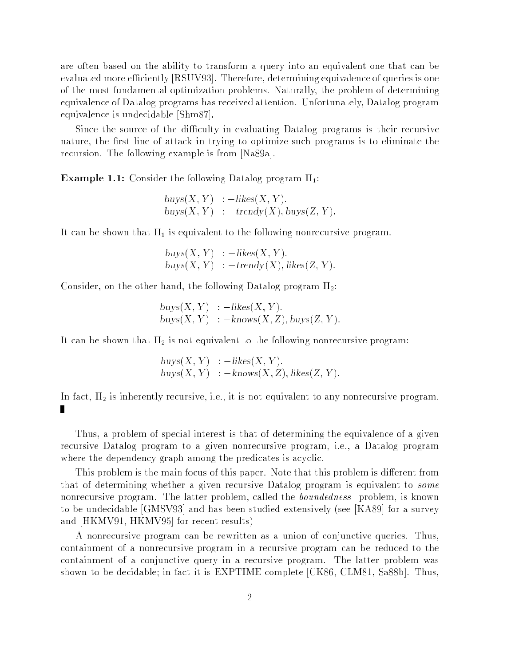are often based on the ability to transform a query into an equivalent one that can be evaluated more efficiently [RSUV93]. Therefore, determining equivalence of queries is one of the most fundamental optimization problems. Naturally, the problem of determining equivalence of Datalog programs has received attention. Unfortunately, Datalog program equivalence is undecidable [Shm87].

Since the source of the difficulty in evaluating Datalog programs is their recursive nature, the first line of attack in trying to optimize such programs is to eliminate the recursion. The following example is from [Na89a].

**Example 1.1:** Consider the following Datalog program  $\Pi_1$ :

 $buys(X, Y) :=$ likes $(X, Y)$ .  $buvs(X, Y) := \text{trendv}(X)$ ,  $buvs(Z, Y)$ .

It can be shown that  $\Pi_1$  is equivalent to the following nonrecursive program.

 $buys(X, Y) \quad : -likes(X, Y).$  $buvs(X, Y) := \text{trendy}(X)$ , likes(Z, Y).

Consider, on the other hand, the following Datalog program  $\Pi_2$ :

 $buys(X, Y) :=$ likes $(X, Y)$ .  $buys(X, Y) := knows(X, Z), buys(Z, Y).$ 

It can be shown that  $\Pi_2$  is not equivalent to the following nonrecursive program:

 $buys(X, Y) := likes(X, Y).$  $buys(X, Y) : -knows(X, Z), likes(Z, Y).$ 

In fact,  $\Pi_2$  is inherently recursive, i.e., it is not equivalent to any nonrecursive program. П

Thus, a problem of special interest is that of determining the equivalence of a given recursive Datalog program to a given nonrecursive program, i.e., a Datalog program where the dependency graph among the predicates is acyclic.

This problem is the main focus of this paper. Note that this problem is different from that of determining whether a given recursive Datalog program is equivalent to some nonrecursive program. The latter problem, called the *boundedness* problem, is known to be undecidable [GMSV93] and has been studied extensively (see [KA89] for a survey and [HKMV91, HKMV95] for recent results)

A nonrecursive program can be rewritten as a union of conjunctive queries. Thus, containment of a nonrecursive program in a recursive program can be reduced to the containment of a conjunctive query in a recursive program. The latter problem was shown to be decidable; in fact it is EXPTIME-complete [CK86, CLM81, Sa88b]. Thus,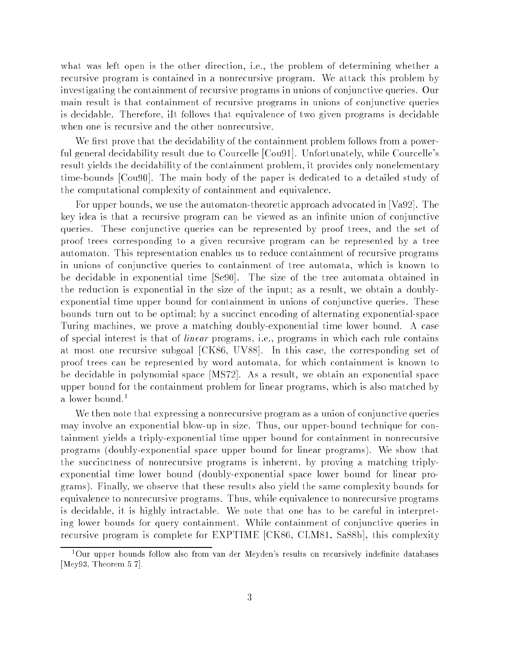what was left open is the other direction, i.e., the problem of determining whether a recursive program is contained in a nonrecursive program. We attack this problem by investigating the containment of recursive programs in unions of conjunctive queries. Our main result is that containment of recursive programs in unions of conjunctive queries is decidable. Therefore, iIt follows that equivalence of two given programs is decidable when one is recursive and the other nonrecursive.

We first prove that the decidability of the containment problem follows from a powerful general decidability result due to Courcelle [Cou91]. Unfortunately, while Courcelle's result yields the decidability of the containment problem, it provides only nonelementary time-bounds [Cou90]. The main body of the paper is dedicated to a detailed study of the computational complexity of containment and equivalence.

For upper bounds, we use the automaton-theoretic approach advocated in [Va92]. The key idea is that a recursive program can be viewed as an infinite union of conjunctive queries. These conjunctive queries can be represented by proof trees, and the set of proof trees corresponding to a given recursive program can be represented by a tree automaton. This representation enables us to reduce containment of recursive programs in unions of conjunctive queries to containment of tree automata, which is known to be decidable in exponential time [Se90]. The size of the tree automata obtained in the reduction is exponential in the size of the input; as a result, we obtain a doublyexponential time upper bound for containment in unions of conjunctive queries. These bounds turn out to be optimal; by a succinct encoding of alternating exponential-space Turing machines, we prove a matching doubly-exponential time lower bound. A case of special interest is that of linear programs, i.e., programs in which each rule contains at most one recursive subgoal [CK86, UV88]. In this case, the corresponding set of proof trees can be represented by word automata, for which containment is known to be decidable in polynomial space [MS72]. As a result, we obtain an exponential space upper bound for the containment problem for linear programs, which is also matched by a lower bound.<sup>1</sup>

We then note that expressing a nonrecursive program as a union of conjunctive queries may involve an exponential blow-up in size. Thus, our upper-bound technique for containment yields a triply-exponential time upper bound for containment in nonrecursive programs (doubly-exponential space upper bound for linear programs). We show that the succinctness of nonrecursive programs is inherent, by proving a matching triplyexponential time lower bound (doubly-exponential space lower bound for linear programs). Finally, we observe that these results also yield the same complexity bounds for equivalence to nonrecursive programs. Thus, while equivalence to nonrecursive programs is decidable, it is highly intractable. We note that one has to be careful in interpreting lower bounds for query containment. While containment of conjunctive queries in recursive program is complete for EXPTIME [CK86, CLM81, Sa88b], this complexity

<sup>&</sup>lt;sup>1</sup>Our upper bounds follow also from van der Meyden's results on recursively indefinite databases [Mey93, Theorem 5.7].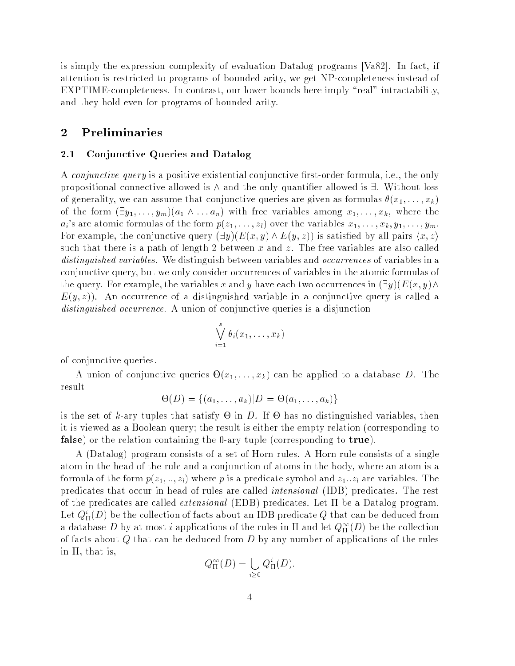is simply the expression complexity of evaluation Datalog programs [Va82]. In fact, if attention is restricted to programs of bounded arity, we get NP-completeness instead of EXPTIME-completeness. In contrast, our lower bounds here imply "real" intractability, and they hold even for programs of bounded arity.

### 2 Preliminaries

### 2.1 Conjunctive Queries and Datalog

A *conjunctive query* is a positive existential conjunctive first-order formula, i.e., the only propositional connective allowed is  $\wedge$  and the only quantifier allowed is  $\exists$ . Without loss of generality, we can assume that conjunctive queries are given as formulas  $\theta(x_1, \ldots, x_k)$ of the form  $(\exists y_1, \ldots, y_m)(a_1 \wedge \ldots a_n)$  with free variables among  $x_1, \ldots, x_k$ , where the  $a_i$ 's are atomic formulas of the form  $p(z_1, \ldots, z_l)$  over the variables  $x_1, \ldots, x_k, y_1, \ldots, y_m$ . For example, the conjunctive query  $(\exists y)(E(x, y) \wedge E(y, z))$  is satisfied by all pairs  $\langle x, z \rangle$ such that there is a path of length 2 between x and z. The free variables are also called distinguished variables. We distinguish between variables and *occurrences* of variables in a conjunctive query, but we only consider occurrences of variables in the atomic formulas of the query. For example, the variables x and y have each two occurrences in  $(\exists y)(E(x, y)\wedge$  $E(y, z)$ . An occurrence of a distinguished variable in a conjunctive query is called a distinguished occurrence. A union of conjunctive queries is a disjunction

$$
\bigvee_{i=1}^s \theta_i(x_1,\ldots,x_k)
$$

of conjunctive queries.

A union of conjunctive queries  $\Theta(x_1,\ldots,x_k)$  can be applied to a database D. The result

$$
\Theta(D) = \{(a_1, \ldots, a_k) | D \models \Theta(a_1, \ldots, a_k)\}
$$

is the set of k-ary tuples that satisfy  $\Theta$  in D. If  $\Theta$  has no distinguished variables, then it is viewed as a Boolean query; the result is either the empty relation (corresponding to false) or the relation containing the 0-ary tuple (corresponding to true).

A (Datalog) program consists of a set of Horn rules. A Horn rule consists of a single atom in the head of the rule and a conjunction of atoms in the body, where an atom is a formula of the form  $p(z_1, \ldots, z_l)$  where p is a predicate symbol and  $z_1 \ldots z_l$  are variables. The predicates that occur in head of rules are called intensional (IDB) predicates. The rest of the predicates are called *extensional* (EDB) predicates. Let  $\Pi$  be a Datalog program. Let  $Q^*_{\Pi}(D)$  be the collection of facts about an IDB predicate  $Q$  that can be deduced from a database  $D$  by at most  $i$  applications of the rules in  $\Pi$  and let  $Q_{\Pi}^{\infty}(D)$  be the collection of facts about  $Q$  that can be deduced from  $D$  by any number of applications of the rules in  $\Pi$ , that is,

$$
Q_{\Pi}^{\infty}(D) = \bigcup_{i \geq 0} Q_{\Pi}^{i}(D).
$$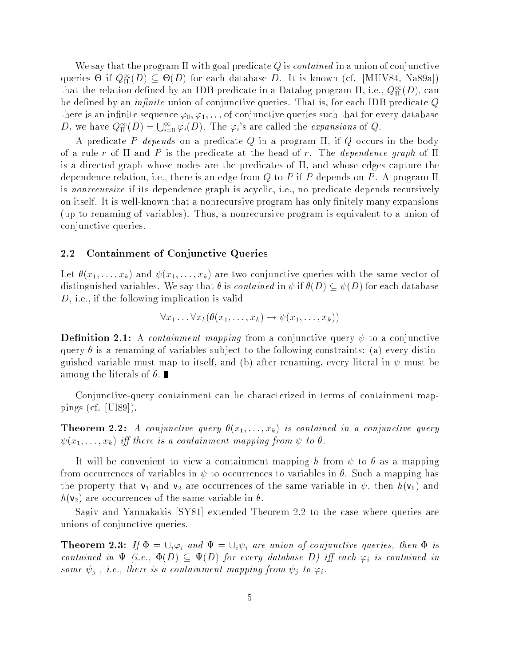We say that the program  $\Pi$  with goal predicate Q is *contained* in a union of conjunctive queries  $\Theta$  if  $Q_{\Pi}^{\infty}(D) \subseteq \Theta(D)$  for each database  $D$ . It is known (cf. [MUV84, Na89a]) that the relation defined by an IDB predicate in a Datalog program  $\Pi,$  i.e.,  $Q_{\Pi}^{\infty}(D),$  can be defined by an *infinite* union of conjunctive queries. That is, for each IDB predicate  $Q$ there is an infinite sequence  $\varphi_0, \varphi_1, \ldots$  of conjunctive queries such that for every database D, we have  $Q_{\Pi}^{\infty}(D) = \bigcup_{i=0}^{\infty} \varphi_i(D)$ . The  $\varphi_i$ 's are called the *expansions* of Q.

A predicate P depends on a predicate Q in a program  $\Pi$ , if Q occurs in the body of a rule r of  $\Pi$  and P is the predicate at the head of r. The *dependence graph* of  $\Pi$ is a directed graph whose nodes are the predicates of  $\Pi$ , and whose edges capture the dependence relation, i.e., there is an edge from Q to P if P depends on P. A program  $\Pi$ is nonrecursive if its dependence graph is acyclic, i.e., no predicate depends recursively on itself. It is well-known that a nonrecursive program has only finitely many expansions (up to renaming of variables). Thus, a nonrecursive program is equivalent to a union of conjunctive queries.

#### 2.2 Containment of Conjunctive Queries

Let  $\theta(x_1, \ldots, x_k)$  and  $\psi(x_1, \ldots, x_k)$  are two conjunctive queries with the same vector of distinguished variables. We say that  $\theta$  is *contained* in  $\psi$  if  $\theta(D) \subseteq \psi(D)$  for each database D, i.e., if the following implication is valid

$$
\forall x_1 \ldots \forall x_k (\theta(x_1, \ldots, x_k) \rightarrow \psi(x_1, \ldots, x_k))
$$

**Definition 2.1:** A *containment mapping* from a conjunctive query  $\psi$  to a conjunctive query  $\theta$  is a renaming of variables subject to the following constraints: (a) every distinguished variable must map to itself, and (b) after renaming, every literal in  $\psi$  must be among the literals of  $\theta$ .

Conjunctive-query containment can be characterized in terms of containment mappings (cf. [Ul89]).

**Theorem 2.2:** A conjunctive query  $\theta(x_1, \ldots, x_k)$  is contained in a conjunctive query  $\psi(x_1, \ldots, x_k)$  iff there is a containment mapping from  $\psi$  to  $\theta$ .

It will be convenient to view a containment mapping h from  $\psi$  to  $\theta$  as a mapping from occurrences of variables in  $\psi$  to occurrences to variables in  $\theta$ . Such a mapping has the property that  $v_1$  and  $v_2$  are occurrences of the same variable in  $\psi$ , then  $h(v_1)$  and  $h(\mathsf{v}_2)$  are occurrences of the same variable in  $\theta$ .

Sagiv and Yannakakis [SY81] extended Theorem 2.2 to the case where queries are unions of conjunctive queries.

**Theorem 2.3:** If  $\Phi = \bigcup_i \varphi_i$  and  $\Psi = \bigcup_i \psi_i$  are union of conjunctive queries, then  $\Phi$  is contained in  $\Psi$  (i.e.,  $\Phi(D) \subseteq \Psi(D)$  for every database D) iff each  $\varphi_i$  is contained in some  $\psi_j$ , i.e., there is a containment mapping from  $\psi_j$  to  $\varphi_i$ .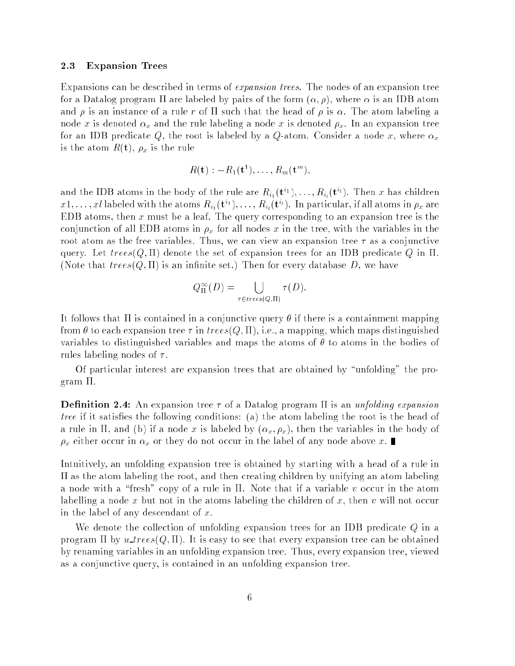#### 2.3 Expansion Trees

Expansions can be described in terms of expansion trees. The nodes of an expansion tree for a Datalog program  $\Pi$  are labeled by pairs of the form  $(\alpha, \rho)$ , where  $\alpha$  is an IDB atom and  $\rho$  is an instance of a rule r of  $\Pi$  such that the head of  $\rho$  is  $\alpha$ . The atom labeling a node x is denoted  $\alpha_x$  and the rule labeling a node x is denoted  $\rho_x$ . In an expansion tree for an IDB predicate Q, the root is labeled by a Q-atom. Consider a node x, where  $\alpha_x$ is the atom  $R(t)$ ,  $\rho_x$  is the rule

$$
R(\mathbf{t}):=R_1(\mathbf{t}^1),\ldots,R_m(\mathbf{t}^m),
$$

and the IDB atoms in the body of the rule are  $R_{i_1}({\bf{t}}^{i_1}),\ldots,R_{i_l}({\bf{t}}^{i_l}).$  Then  $x$  has children  $x1,\ldots,xl$  labeled with the atoms  $R_{i_1}({\bf t}^i),\ldots,R_{i_l}({\bf t}^u).$  In particular, if all atoms in  $\rho_x$  are EDB atoms, then  $x$  must be a leaf. The query corresponding to an expansion tree is the conjunction of all EDB atoms in  $\rho_x$  for all nodes x in the tree, with the variables in the root atom as the free variables. Thus, we can view an expansion tree  $\tau$  as a conjunctive query. Let  $trees(Q, \Pi)$  denote the set of expansion trees for an IDB predicate Q in  $\Pi$ . (Note that  $trees(Q, \Pi)$  is an infinite set.) Then for every database D, we have

$$
Q_{\Pi}^{\infty}(D) = \bigcup_{\tau \in trees(Q,\Pi)} \tau(D).
$$

It follows that  $\Pi$  is contained in a conjunctive query  $\theta$  if there is a containment mapping from  $\theta$  to each expansion tree  $\tau$  in trees(Q, II), i.e., a mapping, which maps distinguished variables to distinguished variables and maps the atoms of  $\theta$  to atoms in the bodies of rules labeling nodes of  $\tau$ .

Of particular interest are expansion trees that are obtained by "unfolding" the program II.

**Definition 2.4:** An expansion tree  $\tau$  of a Datalog program  $\Pi$  is an unfolding expansion tree if it satisfies the following conditions: (a) the atom labeling the root is the head of a rule in  $\Pi$ , and (b) if a node x is labeled by  $(\alpha_x, \rho_x)$ , then the variables in the body of  $\rho_x$  either occur in  $\alpha_x$  or they do not occur in the label of any node above x.

Intuitively, an unfolding expansion tree is obtained by starting with a head of a rule in  $\Pi$  as the atom labeling the root, and then creating children by unifying an atom labeling a node with a "fresh" copy of a rule in  $\Pi$ . Note that if a variable v occur in the atom labelling a node x but not in the atoms labeling the children of  $x$ , then v will not occur in the label of any descendant of  $x$ .

We denote the collection of unfolding expansion trees for an IDB predicate  $Q$  in a program  $\Pi$  by u\_trees( $Q,\Pi$ ). It is easy to see that every expansion tree can be obtained by renaming variables in an unfolding expansion tree. Thus, every expansion tree, viewed as a conjunctive query, is contained in an unfolding expansion tree.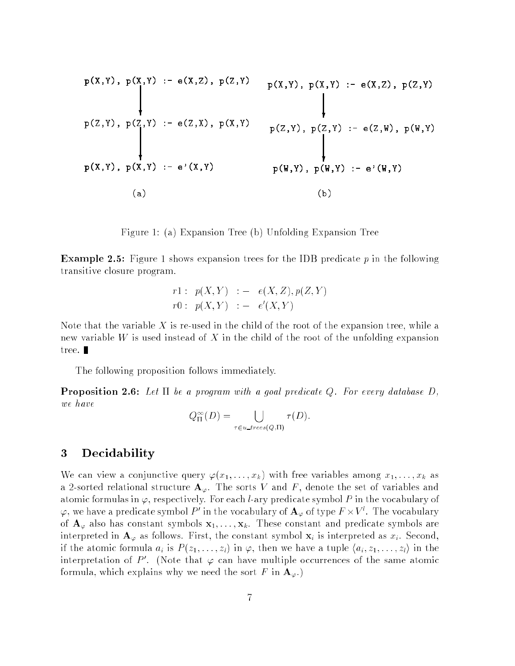$$
p(X,Y), p(X,Y) := e(X,Z), p(Z,Y) \qquad p(X,Y), p(X,Y) := e(X,Z), p(Z,Y)
$$
\n
$$
p(Z,Y), p(Z,Y) := e(Z,X), p(X,Y) \qquad p(Z,Y), p(Z,Y) := e(Z,W), p(W,Y)
$$
\n
$$
p(X,Y), p(X,Y) := e'(X,Y) \qquad p(W,Y), p(W,Y) := e'(W,Y)
$$
\n(a)\n(b)

Figure 1: (a) Expansion Tree (b) Unfolding Expansion Tree

**Example 2.5:** Figure 1 shows expansion trees for the IDB predicate  $p$  in the following transitive closure program.

$$
\begin{array}{rcl} r1: & p(X,Y) & := & e(X,Z), p(Z,Y) \\ r0: & p(X,Y) & := & e'(X,Y) \end{array}
$$

Note that the variable X is re-used in the child of the root of the expansion tree, while a new variable W is used instead of X in the child of the root of the unfolding expansion tree.

The following proposition follows immediately.

**Proposition 2.6:** Let  $\Pi$  be a program with a goal predicate Q. For every database D, we have

$$
Q_{\Pi}^{\infty}(D) = \bigcup_{\tau \in u \_trees(Q,\Pi)} \tau(D).
$$

### 3 Decidability

We can view a conjunctive query  $\varphi(x_1, \ldots, x_k)$  with free variables among  $x_1, \ldots, x_k$  as a 2-sorted relational structure  $A_{\varphi}$ . The sorts V and F, denote the set of variables and atomic formulas in  $\varphi$ , respectively. For each *l*-ary predicate symbol P in the vocabulary of  $\varphi,$  we have a predicate symbol  $P'$  in the vocabulary of  ${\bf A}_\varphi$  of type  $F \times V'$  . The vocabulary of  $\mathbf{A}_{\varphi}$  also has constant symbols  $\mathbf{x}_1, \ldots, \mathbf{x}_k$ . These constant and predicate symbols are interpreted in  $\mathbf{A}_{\varphi}$  as follows. First, the constant symbol  $\mathbf{x}_i$  is interpreted as  $x_i$ . Second, if the atomic formula  $a_i$  is  $P(z_1, \ldots, z_l)$  in  $\varphi$ , then we have a tuple  $\langle a_i, z_1, \ldots, z_l \rangle$  in the interpretation of P'. (Note that  $\varphi$  can have multiple occurrences of the same atomic formula, which explains why we need the sort F in  $\mathbf{A}_{\varphi}$ .)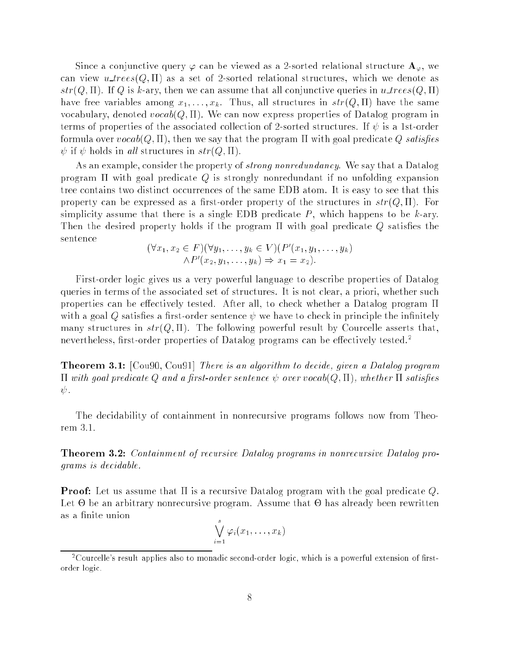Since a conjunctive query  $\varphi$  can be viewed as a 2-sorted relational structure  $\mathbf{A}_{\varphi}$ , we can view  $u\_trees(Q, \Pi)$  as a set of 2-sorted relational structures, which we denote as  $str(Q,\Pi)$ . If Q is k-ary, then we can assume that all conjunctive queries in u\_trees(Q,  $\Pi$ ) have free variables among  $x_1, \ldots, x_k$ . Thus, all structures in  $str(Q, \Pi)$  have the same vocabulary, denoted  $\text{vocab}(Q, \Pi)$ . We can now express properties of Datalog program in terms of properties of the associated collection of 2-sorted structures. If  $\psi$  is a 1st-order formula over  $\text{voca}(Q, \Pi)$ , then we say that the program  $\Pi$  with goal predicate Q satisfies  $\psi$  if  $\psi$  holds in all structures in  $str(Q,\Pi)$ .

As an example, consider the property of *strong nonredundancy*. We say that a Datalog program  $\Pi$  with goal predicate Q is strongly nonredundant if no unfolding expansion tree contains two distinct occurrences of the same EDB atom. It is easy to see that this property can be expressed as a first-order property of the structures in  $str(Q, \Pi)$ . For simplicity assume that there is a single EDB predicate  $P$ , which happens to be k-ary. Then the desired property holds if the program  $\Pi$  with goal predicate Q satisfies the sentence

$$
(\forall x_1, x_2 \in F)(\forall y_1, \dots, y_k \in V)(P'(x_1, y_1, \dots, y_k))
$$
  
 
$$
\wedge P'(x_2, y_1, \dots, y_k) \Rightarrow x_1 = x_2).
$$

First-order logic gives us a very powerful language to describe properties of Datalog queries in terms of the associated set of structures. It is not clear, a priori, whether such properties can be effectively tested. After all, to check whether a Datalog program  $\Pi$ with a goal Q satisfies a first-order sentence  $\psi$  we have to check in principle the infinitely many structures in  $str(Q, \Pi)$ . The following powerful result by Courcelle asserts that, nevertheless, first-order properties of Datalog programs can be effectively tested.<sup>2</sup>

Theorem 3.1: [Cou90, Cou91] There is an algorithm to decide, given a Datalog program  $\Pi$  with goal predicate Q and a first-order sentence  $\psi$  over vocab(Q,  $\Pi$ ), whether  $\Pi$  satisfies  $\psi$  .

The decidability of containment in nonrecursive programs follows now from Theorem 3.1.

Theorem 3.2: Containment of recursive Datalog programs in nonrecursive Datalog programs is decidable.

**Proof:** Let us assume that  $\Pi$  is a recursive Datalog program with the goal predicate Q. Let - be an arbitrary nonrecursive program. Assume that - has already been rewritten as a finite union

$$
\bigvee_{i=1}^s \varphi_i(x_1,\ldots,x_k)
$$

<sup>&</sup>lt;sup>2</sup>Courcelle's result applies also to monadic second-order logic, which is a powerful extension of firstorder logic.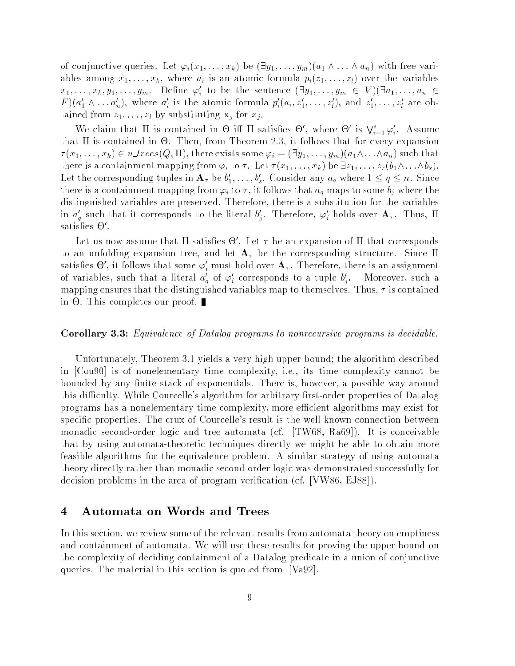of conjunctive queries. Let  $\varphi_i(x_1,\ldots,x_k)$  be  $(\exists y_1,\ldots,y_m)(a_1\wedge\ldots\wedge a_n)$  with free variables among  $x_1, \ldots, x_k$ , where  $a_i$  is an atomic formula  $p_i(z_1, \ldots, z_l)$  over the variables  $x_1,\ldots,x_k,y_1,\ldots,y_m$ . Define  $\varphi'_i$  to be the sentence  $(\exists y_1,\ldots,y_m\,\in\,V)(\exists a_1,\ldots,a_n\,\in\,V)$  $F)(a'_1 \wedge \ldots a'_n)$ , where  $a'_i$  is the atomic formula  $p'_i(a_i, z'_1, \ldots, z'_l)$ , and  $z'_1, \ldots, z'_l$  are obtained from  $z_1, \ldots, z_l$  by substituting  $\mathbf{x}_j$  for  $x_j$ .

We claim that  $\Pi$  is contained in  $\Theta$  iff  $\Pi$  satisfies  $\Theta'$ , where  $\Theta'$  is  $\bigvee_{i=1}^s \varphi'_i$ . Assume that is contained in -. Then, from Theorem 2.3, it follows that for every expansion  $\tau(x_1,\ldots,x_k)\in u\_trees(Q,\Pi)$ , there exists some  $\varphi_i=(\exists y_1,\ldots,y_m)(a_1\wedge\ldots\wedge a_n)$  such that there is a containment mapping from  $\varphi_i$  to  $\tau$ . Let  $\tau(x_1, \ldots, x_k)$  be  $\exists z_1, \ldots, z_r(b_1 \wedge \ldots \wedge b_s)$ . Let the corresponding tuples in  $\mathbf{A}_{\tau}$  be  $b'_1,\ldots,b'_s.$  Consider any  $a_q$  where  $1\leq q\leq n.$  Since <sup>s</sup> there is a containment mapping from  $\varphi_i$  to  $\tau$ , it follows that  $a_q$  maps to some  $b_j$  where the distinguished variables are preserved. Therefore, there is a substitution for the variables in  $a'_q$  such that it corresponds to the literal  $b'_i$ . Therefore,  $\varphi'_i$  holds over  ${\bf A}_{\tau}$ . Thus,  $\Pi$ sausnes  $\mathbf \sigma$  .

Let us now assume that II satisfies  $\Theta$  . Let  $\tau$  be an expansion of II that corresponds to an unfolding expansion tree, and let  $A_\tau$  be the corresponding structure. Since  $\Pi$ satisfies  $\Theta$  , it follows that some  $\varphi_i$  must hold over  $\mathbf{A}_\tau.$  I herefore, there is an assignment of variables, such that a literal  $a'_q$  of  $\varphi'_i$  corresponds to a tuple  $b'_j$ . Moreover, such a mapping ensures that the distinguished variables map to themselves. Thus,  $\tau$  is contained in - . This complete our proof. This complete our proof. This complete our proof. This complete our proof. This complete our proof. This complete our proof. This complete our proof. This complete our proof. This complete o

#### Corollary 3.3: Equivalence of Datalog programs to nonrecursive programs is decidable.

Unfortunately, Theorem 3.1 yields a very high upper bound; the algorithm described in [Cou90] is of nonelementary time complexity, i.e., its time complexity cannot be bounded by any finite stack of exponentials. There is, however, a possible way around this difficulty. While Courcelle's algorithm for arbitrary first-order properties of Datalog programs has a nonelementary time complexity, more ecient algorithms may exist for specific properties. The crux of Courcelle's result is the well known connection between monadic second-order logic and tree automata (cf. [TW68, Ra69]). It is conceivable that by using automata-theoretic techniques directly we might be able to obtain more feasible algorithms for the equivalence problem. A similar strategy of using automata theory directly rather than monadic second-order logic was demonstrated successfully for decision problems in the area of program verication (cf. [VW86, EJ88]).

### 4 Automata on Words and Trees

In this section, we review some of the relevant results from automata theory on emptiness and containment of automata. We will use these results for proving the upper-bound on the complexity of deciding containment of a Datalog predicate in a union of conjunctive queries. The material in this section is quoted from [Va92].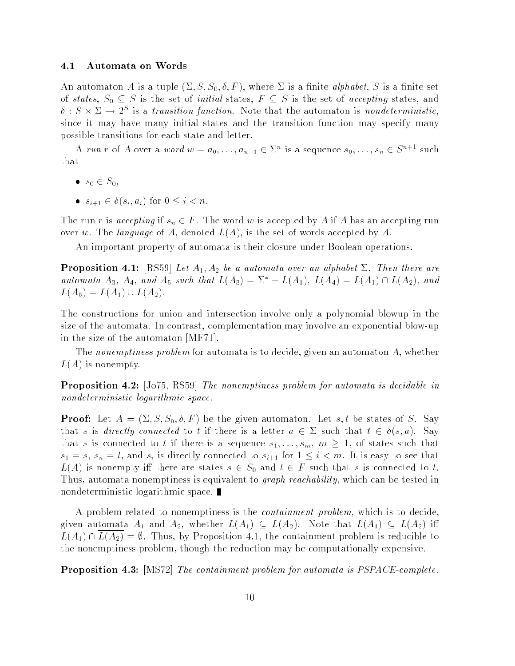#### 4.1 Automata on Words

An automaton A is a tuple  $(\Sigma, S, S_0, \delta, F)$ , where  $\Sigma$  is a finite *alphabet*, S is a finite set of states,  $S_0 \subseteq S$  is the set of *initial* states,  $F \subseteq S$  is the set of accepting states, and  $\delta: S \times \Sigma \rightarrow 2^S$  is a transition function. Note that the automaton is nondeterministic, since it may have many initial states and the transition function may specify many possible transitions for each state and letter.

A run r of A over a word  $w = a_0, \ldots, a_{n-1} \in \Sigma^n$  is a sequence  $s_0, \ldots, s_n \in S^{n+1}$  such that

- $s_0 \in S_0$ ,
- $s_{i+1} \in \delta(s_i, a_i)$  for  $0 \leq i < n$ .

The run r is accepting if  $s_n \in F$ . The word w is accepted by A if A has an accepting run over w. The language of A, denoted  $L(A)$ , is the set of words accepted by A.

An important property of automata is their closure under Boolean operations.

**Proposition 4.1:** [RS59] Let  $A_1$ ,  $A_2$  be a automata over an alphabet  $\Sigma$ . Then there are automata  $A_3$ ,  $A_4$ , and  $A_5$  such that  $L(A_3) = \Sigma^* - L(A_1)$ ,  $L(A_4) = L(A_1) \cap L(A_2)$ , and  $L(A_5) = L(A_1) \cup L(A_2).$ 

The constructions for union and intersection involve only a polynomial blowup in the size of the automata. In contrast, complementation may involve an exponential blow-up in the size of the automaton [MF71].

The nonemptiness problem for automata is to decide, given an automaton A, whether  $L(A)$  is nonempty.

**Proposition 4.2:** [Jo75, RS59] The nonemptiness problem for automata is decidable in nondeterministic logarithmic space.

**Proof:** Let  $A = (\Sigma, S, S_0, \delta, F)$  be the given automaton. Let s, t be states of S. Say that s is directly connected to t if there is a letter  $a \in \Sigma$  such that  $t \in \delta(s, a)$ . Say that s is connected to t if there is a sequence  $s_1, \ldots, s_m, m \geq 1$ , of states such that  $s_1 = s$ ,  $s_n = t$ , and  $s_i$  is directly connected to  $s_{i+1}$  for  $1 \leq i \leq m$ . It is easy to see that  $L(A)$  is nonempty iff there are states  $s \in S_0$  and  $t \in F$  such that s is connected to t. Thus, automata nonemptiness is equivalent to *graph reachability*, which can be tested in nondeterministic logarithmic space.

A problem related to nonemptiness is the *containment problem*, which is to decide, given automata  $A_1$  and  $A_2$ , whether  $L(A_1) \subseteq L(A_2)$ . Note that  $L(A_1) \subseteq L(A_2)$  iff  $L(A_1) \cap L(A_2) = \emptyset$ . Thus, by Proposition 4.1, the containment problem is reducible to the nonemptiness problem, though the reduction may be computationally expensive.

**Proposition 4.3:** [MS72] The containment problem for automata is PSPACE-complete.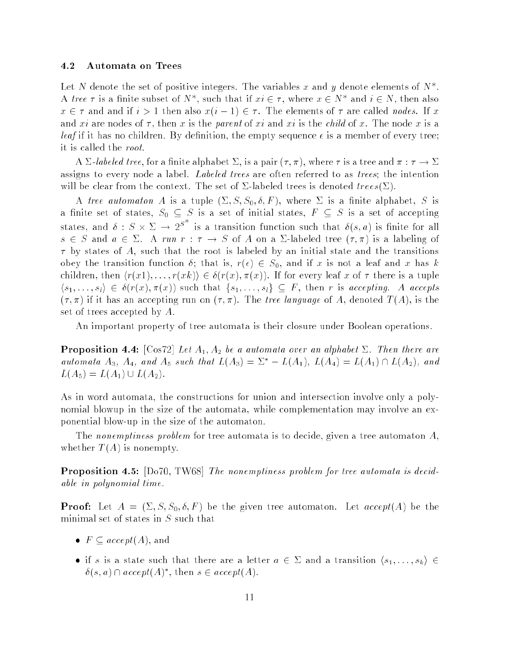#### 4.2 Automata on Trees

Let N denote the set of positive integers. The variables x and y denote elements of  $N^*$ . A tree  $\tau$  is a finite subset of  $N^*$ , such that if  $xi \in \tau$ , where  $x \in N^*$  and  $i \in N$ , then also  $x \in \tau$  and and if  $i > 1$  then also  $x(i - 1) \in \tau$ . The elements of  $\tau$  are called nodes. If x and xi are nodes of  $\tau$ , then x is the parent of xi and xi is the child of x. The node x is a *leaf* if it has no children. By definition, the empty sequence  $\epsilon$  is a member of every tree; it is called the root.

A  $\Sigma$ -labeled tree, for a finite alphabet  $\Sigma$ , is a pair  $(\tau, \pi)$ , where  $\tau$  is a tree and  $\pi : \tau \to \Sigma$ assigns to every node a label. Labeled trees are often referred to as trees; the intention will be clear from the context. The set of  $\Sigma$ -labeled trees is denoted  $trees(\Sigma)$ .

A tree automaton A is a tuple  $(\Sigma, S, S_0, \delta, F)$ , where  $\Sigma$  is a finite alphabet, S is a finite set of states,  $S_0 \subseteq S$  is a set of initial states,  $F \subseteq S$  is a set of accepting states, and  $\delta: S \times \Sigma \to 2^{S^+}$  is a transition function such that  $\delta(s,a)$  is finite for all  $s \in S$  and  $a \in \Sigma$ . A run  $r : \tau \to S$  of A on a  $\Sigma$ -labeled tree  $(\tau, \pi)$  is a labeling of  $\tau$  by states of A, such that the root is labeled by an initial state and the transitions obey the transition function  $\delta$ ; that is,  $r(\epsilon) \in S_0$ , and if x is not a leaf and x has k children, then  $\langle r(x1), \ldots, r(xk) \rangle \in \delta(r(x), \pi(x))$ . If for every leaf x of  $\tau$  there is a tuple  $\langle s_1, \ldots, s_l \rangle \in \delta(r(x), \pi(x))$  such that  $\{s_1, \ldots, s_l\} \subseteq F$ , then r is accepting. A accepts  $(\tau, \pi)$  if it has an accepting run on  $(\tau, \pi)$ . The tree language of A, denoted  $T(A)$ , is the set of trees accepted by A.

An important property of tree automata is their closure under Boolean operations.

**Proposition 4.4:** [Cos72] Let  $A_1, A_2$  be a automata over an alphabet  $\Sigma$ . Then there are automata  $A_3$ ,  $A_4$ , and  $A_5$  such that  $L(A_3) = \Sigma^* - L(A_1)$ ,  $L(A_4) = L(A_1) \cap L(A_2)$ , and  $L(A_5) = L(A_1) \cup L(A_2).$ 

As in word automata, the constructions for union and intersection involve only a polynomial blowup in the size of the automata, while complementation may involve an exponential blow-up in the size of the automaton.

The nonemptiness problem for tree automata is to decide, given a tree automaton  $A$ , whether  $T(A)$  is nonempty.

Proposition 4.5: [Do70, TW68] The nonemptiness problem for tree automata is decidable in polynomial time.

**Proof:** Let  $A = (\Sigma, S, S_0, \delta, F)$  be the given tree automaton. Let  $accept(A)$  be the minimal set of states in S such that

- $F \subseteq accept(A)$ , and
- $\bullet$  if s is a state such that there are a letter  $a \in \Sigma$  and a transition  $\langle s_1, \ldots, s_k \rangle \in \Sigma$  $\delta(s, a) \cap accept(A)^{*}, \text{ then } s \in accept(A).$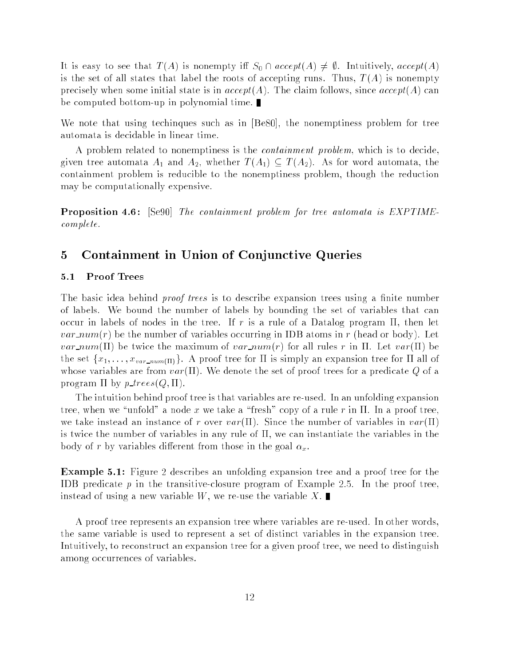It is easy to see that  $T(A)$  is nonempty iff  $S_0 \cap accept(A) \neq \emptyset$ . Intuitively,  $accept(A)$ is the set of all states that label the roots of accepting runs. Thus,  $T(A)$  is nonempty precisely when some initial state is in  $accept(A)$ . The claim follows, since  $accept(A)$  can be computed bottom-up in polynomial time.

We note that using techinques such as in [Be80], the nonemptiness problem for tree automata is decidable in linear time.

A problem related to nonemptiness is the *containment problem*, which is to decide, given tree automata  $A_1$  and  $A_2$ , whether  $T(A_1) \subseteq T(A_2)$ . As for word automata, the containment problem is reducible to the nonemptiness problem, though the reduction may be computationally expensive.

**Proposition 4.6:** [Se90] The containment problem for tree automata is EXPTIMEcomplete.

#### $\overline{5}$ 5 Containment in Union of Conjunctive Queries

### 5.1 Proof Trees

The basic idea behind *proof trees* is to describe expansion trees using a finite number of labels. We bound the number of labels by bounding the set of variables that can occur in labels of nodes in the tree. If r is a rule of a Datalog program  $\Pi$ , then let *var*  $num(r)$  be the number of variables occurring in IDB atoms in r (head or body). Let *var\_num*(II) be twice the maximum of *var\_num(r)* for all rules r in  $\Pi$ . Let *var*( $\Pi$ ) be the set  $\{x_1, \ldots, x_{var\_num(\Pi)}\}$ . A proof tree for  $\Pi$  is simply an expansion tree for  $\Pi$  all of whose variables are from  $var(\Pi)$ . We denote the set of proof trees for a predicate Q of a program  $\Pi$  by  $p\_trees(Q, \Pi)$ .

The intuition behind proof tree is that variables are re-used. In an unfolding expansion tree, when we "unfold" a node x we take a "fresh" copy of a rule r in  $\Pi$ . In a proof tree, we take instead an instance of r over  $var(\Pi)$ . Since the number of variables in  $var(\Pi)$ is twice the number of variables in any rule of  $\Pi$ , we can instantiate the variables in the body of r by variables different from those in the goal  $\alpha_x$ .

Example 5.1: Figure 2 describes an unfolding expansion tree and a proof tree for the IDB predicate  $p$  in the transitive-closure program of Example 2.5. In the proof tree. instead of using a new variable W, we re-use the variable X.

A proof tree represents an expansion tree where variables are re-used. In other words, the same variable is used to represent a set of distinct variables in the expansion tree. Intuitively, to reconstruct an expansion tree for a given proof tree, we need to distinguish among occurrences of variables.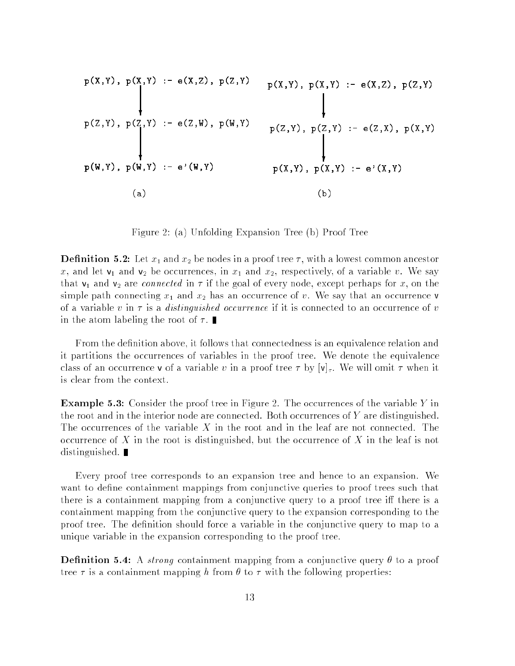$$
p(X,Y), p(X,Y) := e(X,Z), p(Z,Y) \qquad p(X,Y), p(X,Y) := e(X,Z), p(Z,Y)
$$
\n
$$
p(Z,Y), p(Z,Y) := e(Z,W), p(W,Y) \qquad p(Z,Y), p(Z,Y) := e(Z,X), p(X,Y)
$$
\n
$$
p(W,Y), p(W,Y) := e'(W,Y) \qquad p(X,Y), p(X,Y) := e'(X,Y)
$$
\n(a)\n(b)

Figure 2: (a) Unfolding Expansion Tree (b) Proof Tree

**Definition 5.2:** Let  $x_1$  and  $x_2$  be nodes in a proof tree  $\tau$ , with a lowest common ancestor x, and let  $v_1$  and  $v_2$  be occurrences, in  $x_1$  and  $x_2$ , respectively, of a variable v. We say that  $v_1$  and  $v_2$  are *connected* in  $\tau$  if the goal of every node, except perhaps for x, on the simple path connecting  $x_1$  and  $x_2$  has an occurrence of v. We say that an occurrence v of a variable v in  $\tau$  is a *distinguished occurrence* if it is connected to an occurrence of v in the atom labeling the root of  $\tau$ .

From the definition above, it follows that connectedness is an equivalence relation and it partitions the occurrences of variables in the proof tree. We denote the equivalence class of an occurrence **v** of a variable v in a proof tree  $\tau$  by  $[v]_{\tau}$ . We will omit  $\tau$  when it is clear from the context.

**Example 5.3:** Consider the proof tree in Figure 2. The occurrences of the variable Y in the root and in the interior node are connected. Both occurrences of  $Y$  are distinguished. The occurrences of the variable  $X$  in the root and in the leaf are not connected. The occurrence of X in the root is distinguished, but the occurrence of X in the leaf is not distinguished.

Every proof tree corresponds to an expansion tree and hence to an expansion. We want to define containment mappings from conjunctive queries to proof trees such that there is a containment mapping from a conjunctive query to a proof tree iff there is a containment mapping from the conjunctive query to the expansion corresponding to the proof tree. The definition should force a variable in the conjunctive query to map to a unique variable in the expansion corresponding to the proof tree.

**Definition 5.4:** A strong containment mapping from a conjunctive query  $\theta$  to a proof tree  $\tau$  is a containment mapping h from  $\theta$  to  $\tau$  with the following properties: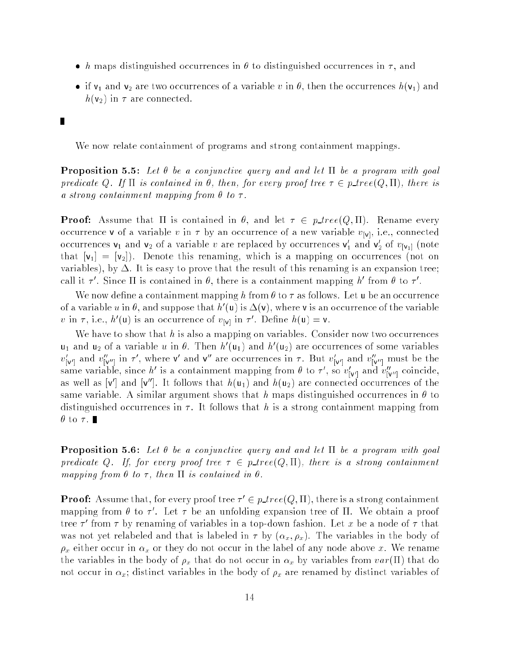- h maps distinguished occurrences in  $\theta$  to distinguished occurrences in  $\tau$ , and
- if  $v_1$  and  $v_2$  are two occurrences of a variable v in  $\theta$ , then the occurrences  $h(v_1)$  and  $h(\mathsf{v}_2)$  in  $\tau$  are connected.

We now relate containment of programs and strong containment mappings.

П

**Proposition 5.5:** Let  $\theta$  be a conjunctive query and and let  $\Pi$  be a program with goal predicate Q. If  $\Pi$  is contained in  $\theta$ , then, for every proof tree  $\tau \in p\_tree(Q, \Pi)$ , there is a strong containment mapping from  $\theta$  to  $\tau$ .

**Proof:** Assume that  $\Pi$  is contained in  $\theta$ , and let  $\tau \in p\_tree(Q, \Pi)$ . Rename every occurrence v of a variable v in  $\tau$  by an occurrence of a new variable  $v_{[v]},$  i.e., connected occurrences  $\mathsf{v}_1$  and  $\mathsf{v}_2$  of a variable  $v$  are replaced by occurrences  $\mathsf{v}_1$  and  $\mathsf{v}_2$  of  $v_{[\mathsf{v}_1]}$  (note that  $[v_1] = [v_2]$ ). Denote this renaming, which is a mapping on occurrences (not on variables), by  $\Delta$ . It is easy to prove that the result of this renaming is an expansion tree; call it  $\tau'$ . Since  $\Pi$  is contained in  $\theta$ , there is a containment mapping h' from  $\theta$  to  $\tau'$ .

We now define a containment mapping h from  $\theta$  to  $\tau$  as follows. Let u be an occurrence of a variable u in  $\theta$ , and suppose that  $h'(\mathbf{u})$  is  $\Delta(\mathbf{v})$ , where v is an occurrence of the variable v in  $\tau$ , i.e.,  $h'(\mathbf{u})$  is an occurrence of  $v_{[\mathbf{v}]}$  in  $\tau'$ . Define  $h(\mathbf{u}) = \mathbf{v}$ .

We have to show that h is also a mapping on variables. Consider now two occurrences  $u_1$  and  $u_2$  of a variable u in  $\theta$ . Then  $h'(u_1)$  and  $h'(u_2)$  are occurrences of some variables  $v_{[\mathsf{v}^\prime]}$  and  $v_{[\mathsf{v}^{\prime\prime}]}$  in  $\tau$  , where  $\mathsf{v}^\prime$  and  $\mathsf{v}^\prime$  are occurrences in  $\tau$  . But  $v_{[\mathsf{v}^\prime]}$  and  $v_{[\mathsf{v}^{\prime\prime}]}$  must be the same variable, since h<sup>'</sup> is a containment mapping from  $\theta$  to  $\tau'$ , so  $v'_{[v']}$  and  $v''_{[v'']}$  coincide, as well as  ${\bf v}'$  and  ${\bf v}''$ . It follows that  $h({\bf u}_1)$  and  $h({\bf u}_2)$  are connected occurrences of the same variable. A similar argument shows that h maps distinguished occurrences in  $\theta$  to distinguished occurrences in  $\tau$ . It follows that h is a strong containment mapping from  $\theta$  to  $\tau$ .

**Proposition 5.6:** Let  $\theta$  be a conjunctive query and and let  $\Pi$  be a program with goal predicate Q. If, for every proof tree  $\tau \in p\_tree(Q,\Pi)$ , there is a strong containment mapping from  $\theta$  to  $\tau$ , then  $\Pi$  is contained in  $\theta$ .

**Proof:** Assume that, for every proof tree  $\tau' \in p\_tree(Q, \Pi)$ , there is a strong containment mapping from  $\theta$  to  $\tau'$ . Let  $\tau$  be an unfolding expansion tree of II. We obtain a proof tree  $\tau$  -from  $\tau$  by renaming of variables in a top-down fashion. Let  $x$  be a node of  $\tau$  that was not yet relabeled and that is labeled in  $\tau$  by  $(\alpha_x, \rho_x)$ . The variables in the body of  $\rho_x$  either occur in  $\alpha_x$  or they do not occur in the label of any node above x. We rename the variables in the body of  $\rho_x$  that do not occur in  $\alpha_x$  by variables from  $var(\Pi)$  that do not occur in  $\alpha_x$ ; distinct variables in the body of  $\rho_x$  are renamed by distinct variables of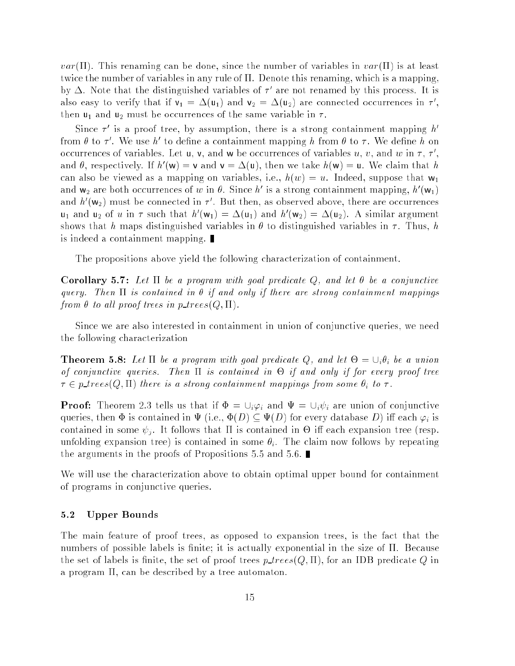$var(\Pi)$ . This renaming can be done, since the number of variables in  $var(\Pi)$  is at least twice the number of variables in any rule of  $\Pi$ . Denote this renaming, which is a mapping, by  $\Delta$ . Note that the distinguished variables of  $\tau$  are not renamed by this process. It is also easy to verify that if  $\mathsf{v}_1 = \Delta(\mathsf{u}_1)$  and  $\mathsf{v}_2 = \Delta(\mathsf{u}_2)$  are connected occurrences in  $\tau$ , then  $u_1$  and  $u_2$  must be occurrences of the same variable in  $\tau$ .

Since  $\tau'$  is a proof tree, by assumption, there is a strong containment mapping h' from  $\theta$  to  $\tau'$ . We use h' to define a containment mapping h from  $\theta$  to  $\tau$ . We define h on occurrences of variables. Let **u**, **v**, and **w** be occurrences of variables  $u, v,$  and  $w$  in  $\tau, \tau',$ and  $\theta$ , respectively. If  $h'(\mathbf{w}) = \mathbf{v}$  and  $\mathbf{v} = \Delta(\mathbf{u})$ , then we take  $h(\mathbf{w}) = \mathbf{u}$ . We claim that h can also be viewed as a mapping on variables, i.e.,  $h(w) = u$ . Indeed, suppose that  $w_1$ and  $w_2$  are both occurrences of w in  $\theta$ . Since h' is a strong containment mapping,  $h'(w_1)$ and  $h'(w_2)$  must be connected in  $\tau'$ . But then, as observed above, there are occurrences  $u_1$  and  $u_2$  of u in  $\tau$  such that  $h'(\mathsf{w}_1) = \Delta(\mathsf{u}_1)$  and  $h'(\mathsf{w}_2) = \Delta(\mathsf{u}_2)$ . A similar argument shows that h maps distinguished variables in  $\theta$  to distinguished variables in  $\tau$ . Thus, h is indeed a containment mapping.

The propositions above yield the following characterization of containment.

**Corollary 5.7:** Let  $\Pi$  be a program with goal predicate Q, and let  $\theta$  be a conjunctive query. Then  $\Pi$  is contained in  $\theta$  if and only if there are strong containment mappings from  $\theta$  to all proof trees in p\_trees( $Q, \Pi$ ).

Since we are also interested in containment in union of conjunctive queries, we need the following characterization

**Theorem 5.8:** Let  $\Pi$  be a program with goal predicate Q, and let  $\Theta = \cup_i \theta_i$  be a union of conjunctive queries. Then is contained in - if and only if for every proof tree  $\tau \in p\text{-}trees(Q,\Pi)$  there is a strong containment mappings from some  $\theta_i$  to  $\tau$ .

**Proof:** Theorem 2.3 tells us that if  $\Phi = \bigcup_i \varphi_i$  and  $\Psi = \bigcup_i \psi_i$  are union of conjunctive queries, then  $\Phi$  is contained in  $\Psi$  (i.e.,  $\Phi(D) \subseteq \Psi(D)$  for every database D) iff each  $\varphi_i$  is contained in some  $\psi_i$ . It follows that  $\Pi$  is contained in  $\Theta$  iff each expansion tree (resp. unfolding expansion tree) is contained in some  $\theta_i$ . The claim now follows by repeating the arguments in the proofs of Propositions 5.5 and 5.6.

We will use the characterization above to obtain optimal upper bound for containment of programs in conjunctive queries.

### 5.2 Upper Bounds

The main feature of proof trees, as opposed to expansion trees, is the fact that the numbers of possible labels is finite; it is actually exponential in the size of  $\Pi$ . Because the set of labels is finite, the set of proof trees  $p\_trees(Q, \Pi)$ , for an IDB predicate Q in a program  $\Pi$ , can be described by a tree automaton.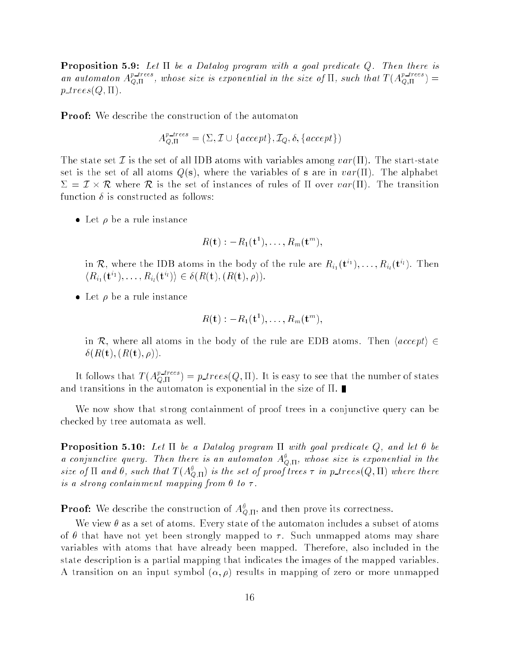**Proposition 5.9:** Let  $\Pi$  be a Datalog program with a goal predicate Q. Then there is an automaton  $A_{\text{O},\Pi}^{p\text{-}trees}$ , whose size is exponential in the size of  $\Pi$ , such that  $T(A_{\text{O},\Pi}^{p\text{-}trees})=$  $p\_trees(Q, \Pi)$ .

Proof: We describe the construction of the automaton

$$
A_{Q,\Pi}^{p\text{-}trees} = (\Sigma, \mathcal{I} \cup \{accept\}, \mathcal{I}_Q, \delta, \{accept\})
$$

The state set T is the set of all IDB atoms with variables among  $var(\Pi)$ . The start-state set is the set of all atoms  $Q(s)$ , where the variables of s are in  $var(\Pi)$ . The alphabet  $\Sigma = L \times K$  where K is the set of instances of rules of H over  $var(11)$ . The transition function  $\delta$  is constructed as follows:

 $\bullet\,$  Let  $\rho\,$  be a rule instance

$$
R(\mathbf{t}):=R_1(\mathbf{t}^1),\ldots,R_m(\mathbf{t}^m),
$$

in R, where the IDB atoms in the body of the rule are  $R_{i_1}({\bf{t}}^{i_1}),\ldots,R_{i_l}({\bf{t}}^{i_l}).$  Then  $\langle R_{i_1}({\bf{t}}^{i_1}),\ldots,R_{i_l}({\bf{t}}^{i_l})\rangle\in \delta(R({\bf{t}}), (R({\bf{t}}),\rho)).$ 

 $\bullet\,$  Let  $\,\rho\,$  be a rule instance

$$
R(\mathbf{t}):=R_1(\mathbf{t}^1),\ldots,R_m(\mathbf{t}^m),
$$

in R, where all atoms in the body of the rule are EDB atoms. Then  $\langle accept \rangle \in$  $\delta(R(\mathbf{t}), (R(\mathbf{t}), \rho)).$ 

It follows that  $T(A_{\text{O-II}}^{p \text{-}trees}) = p\_trees(Q, \Pi)$ . It is easy to see that the number of states and transitions in the automaton is exponential in the size of  $\Pi$ .

We now show that strong containment of proof trees in a conjunctive query can be checked by tree automata as well.

**Proposition 5.10:** Let  $\Pi$  be a Datalog program  $\Pi$  with goal predicate Q, and let  $\theta$  be a conjunctive query. Then there is an automaton  $A_{\text{Q},\Pi}^{\theta}$ , whose size is exponential in the size of  $\Pi$  and  $\theta$ , such that  $T(A_{\text{O},\Pi}^{\theta})$  is the set of proof trees  $\tau$  in p\_trees(Q,  $\Pi$ ) where there is a strong containment mapping from  $\theta$  to  $\tau$ .

**Proof:** We describe the construction of  $A_{Q,\Pi}^{\theta}$ , and then prove its correctness.

We view  $\theta$  as a set of atoms. Every state of the automaton includes a subset of atoms of  $\theta$  that have not yet been strongly mapped to  $\tau$ . Such unmapped atoms may share variables with atoms that have already been mapped. Therefore, also included in the state description is a partial mapping that indicates the images of the mapped variables. A transition on an input symbol  $(\alpha, \rho)$  results in mapping of zero or more unmapped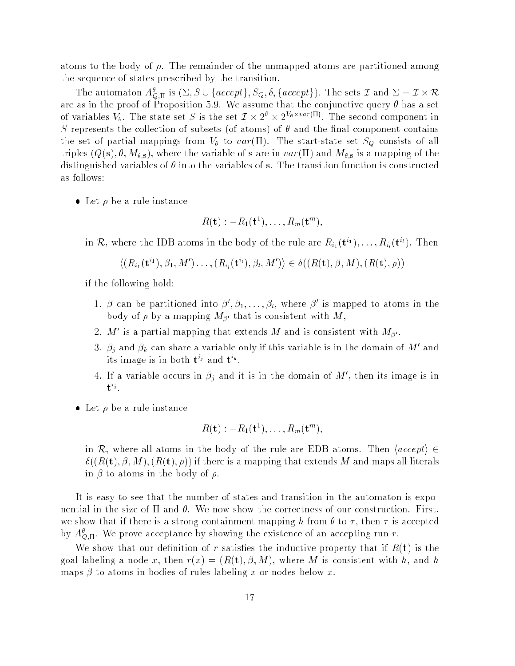atoms to the body of  $\rho$ . The remainder of the unmapped atoms are partitioned among the sequence of states prescribed by the transition.

The automaton  $A^\theta_{Q,\Pi}$  is  $(\Sigma, S\cup\{accept\}, S_Q, \delta, \{accept\})$ . The sets  $\mathcal I$  and  $\Sigma=\mathcal I\times \mathcal R$ are as in the proof of Proposition 5.9. We assume that the conjunctive query  $\theta$  has a set of variables  $V_{\theta}$ . The state set S is the set  $\mathcal{I} \times 2^{\theta} \times 2^{\nu_{\theta} \times var(\Pi)}$ . The second component in S represents the collection of subsets (of atoms) of  $\theta$  and the final component contains the set of partial mappings from  $V_{\theta}$  to  $var(\Pi)$ . The start-state set  $S_Q$  consists of all triples  $(Q(s), \theta, M_{\theta,s})$ , where the variable of s are in  $var(\Pi)$  and  $M_{\theta,s}$  is a mapping of the distinguished variables of  $\theta$  into the variables of s. The transition function is constructed as follows:

 $\bullet\,$  Let  $\,\rho\,$  be a rule instance

$$
R(\mathbf{t}): -R_1(\mathbf{t}^1), \ldots, R_m(\mathbf{t}^m),
$$

in R, where the IDB atoms in the body of the rule are  $R_{i_1}({\bf{t}}^{i_1}),\ldots,R_{i_l}({\bf{t}}^{i_l}).$  Then

$$
\langle (R_{i_1}(\mathbf{t}^{i_1}), \beta_1, M') \dots, (R_{i_l}(\mathbf{t}^{i_l}), \beta_l, M') \rangle \in \delta((R(\mathbf{t}), \beta, M), (R(\mathbf{t}), \rho))
$$

if the following hold:

- 1.  $\beta$  can be partitioned into  $\beta', \beta_1, \ldots, \beta_l$ , where  $\beta'$  is mapped to atoms in the body of  $\rho$  by a mapping  $M_{\beta'}$  that is consistent with M,
- 2. M' is a partial mapping that extends M and is consistent with  $M_{\beta'}$ .
- 3.  $\beta_i$  and  $\beta_k$  can share a variable only if this variable is in the domain of M' and its image is in both  $\mathfrak{t}^\vee$  and  $\mathfrak{t}^\wedge.$
- 4. If a variable occurs in  $\beta_j$  and it is in the domain of M', then its image is in  $\mathbf{U}^{ij}$ .
- $\bullet\,$  Let  $\,\rho\,$  be a rule instance

$$
R(\mathbf{t}): -R_1(\mathbf{t}^1), \ldots, R_m(\mathbf{t}^m),
$$

in R, where all atoms in the body of the rule are EDB atoms. Then  $\langle accept \rangle \in$  $\delta((R(t), \beta, M), (R(t), \rho))$  if there is a mapping that extends M and maps all literals in  $\beta$  to atoms in the body of  $\rho$ .

It is easy to see that the number of states and transition in the automaton is exponential in the size of  $\Pi$  and  $\theta$ . We now show the correctness of our construction. First, we show that if there is a strong containment mapping h from  $\theta$  to  $\tau$ , then  $\tau$  is accepted by  $A_{Q,\Pi}^{\theta}$ . We prove acceptance by showing the existence of an accepting run r.

We show that our definition of r satisfies the inductive property that if  $R(t)$  is the goal labeling a node x, then  $r(x) = (R(t), \beta, M)$ , where M is consistent with h, and h maps  $\beta$  to atoms in bodies of rules labeling x or nodes below x.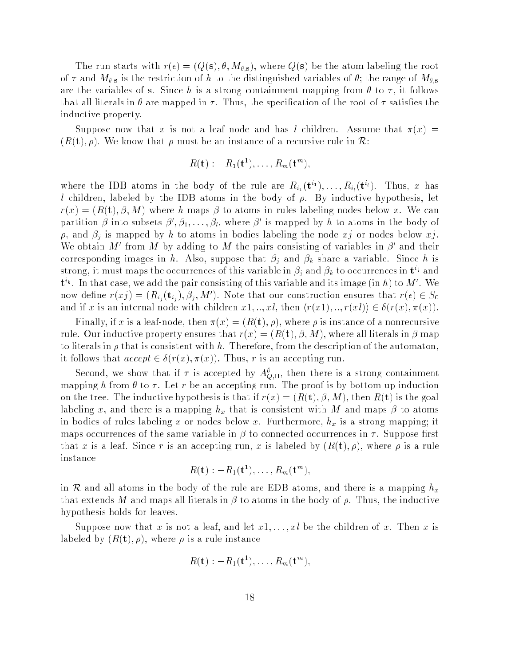The run starts with  $r(\epsilon) = (Q(s), \theta, M_{\theta, s})$ , where  $Q(s)$  be the atom labeling the root of  $\tau$  and  $M_{\theta,s}$  is the restriction of h to the distinguished variables of  $\theta$ ; the range of  $M_{\theta,s}$ are the variables of s. Since h is a strong containment mapping from  $\theta$  to  $\tau$ , it follows that all literals in  $\theta$  are mapped in  $\tau$ . Thus, the specification of the root of  $\tau$  satisfies the inductive property.

Suppose now that x is not a leaf node and has l children. Assume that  $\pi(x)$  =  $(R(t), \rho)$ . We know that  $\rho$  must be an instance of a recursive rule in R:

$$
R(\mathbf{t}): -R_1(\mathbf{t}^1), \ldots, R_m(\mathbf{t}^m),
$$

where the IDB atoms in the body of the rule are  $R_{i_1}(\mathbf{t}^{i_1}), \ldots, R_{i_l}(\mathbf{t}^{i_l}).$  Thus, x has l children, labeled by the IDB atoms in the body of  $\rho$ . By inductive hypothesis, let  $r(x) = (R(t), \beta, M)$  where h maps  $\beta$  to atoms in rules labeling nodes below x. We can partition  $\beta$  into subsets  $\beta', \beta_1, \ldots, \beta_l$ , where  $\beta'$  is mapped by h to atoms in the body of  $\rho$ , and  $\beta_j$  is mapped by h to atoms in bodies labeling the node xj or nodes below xj. We obtain M' from M by adding to M the pairs consisting of variables in  $\beta'$  and their corresponding images in h. Also, suppose that  $\beta_i$  and  $\beta_k$  share a variable. Since h is strong, it must maps the occurrences of this variable in  $\beta_j$  and  $\beta_k$  to occurrences in  ${\bf t}^{i_j}$  and  $\mathbf{t}^{i_k}$ . In that case, we add the pair consisting of this variable and its image (in h) to M'. We now define  $r(x_j) = (R_{i_j}(t_{i_j}), \beta_j, M')$ . Note that our construction ensures that  $r(\epsilon) \in S_0$ and if x is an internal node with children  $x_1, ..., x_l$ , then  $\langle r(x_1), ..., r(x_l) \rangle \in \delta(r(x), \pi(x))$ .

Finally, if x is a leaf-node, then  $\pi(x) = (R(t), \rho)$ , where  $\rho$  is instance of a nonrecursive rule. Our inductive property ensures that  $r(x) = (R(t), \beta, M)$ , where all literals in  $\beta$  map to literals in  $\rho$  that is consistent with h. Therefore, from the description of the automaton, it follows that  $accept \in \delta(r(x), \pi(x))$ . Thus, r is an accepting run.

Second, we show that if  $\tau$  is accepted by  $A_{\text{O},\Pi}^{\theta}$ , then there is a strong containment mapping h from  $\theta$  to  $\tau$ . Let r be an accepting run. The proof is by bottom-up induction on the tree. The inductive hypothesis is that if  $r(x) = (R(t), \beta, M)$ , then  $R(t)$  is the goal labeling x, and there is a mapping  $h_x$  that is consistent with M and maps  $\beta$  to atoms in bodies of rules labeling x or nodes below x. Furthermore,  $h_x$  is a strong mapping; it maps occurrences of the same variable in  $\beta$  to connected occurrences in  $\tau$ . Suppose first that x is a leaf. Since r is an accepting run, x is labeled by  $(R(t), \rho)$ , where  $\rho$  is a rule instance

$$
R(\mathbf{t}): -R_1(\mathbf{t}^1), \ldots, R_m(\mathbf{t}^m),
$$

in R and all atoms in the body of the rule are EDB atoms, and there is a mapping  $h_x$ that extends M and maps all literals in  $\beta$  to atoms in the body of  $\rho$ . Thus, the inductive hypothesis holds for leaves.

Suppose now that x is not a leaf, and let  $x_1, \ldots, x_l$  be the children of x. Then x is labeled by  $(R(t), \rho)$ , where  $\rho$  is a rule instance

$$
R(\mathbf{t}):=R_1(\mathbf{t}^{1}),\ldots,R_m(\mathbf{t}^{m}),
$$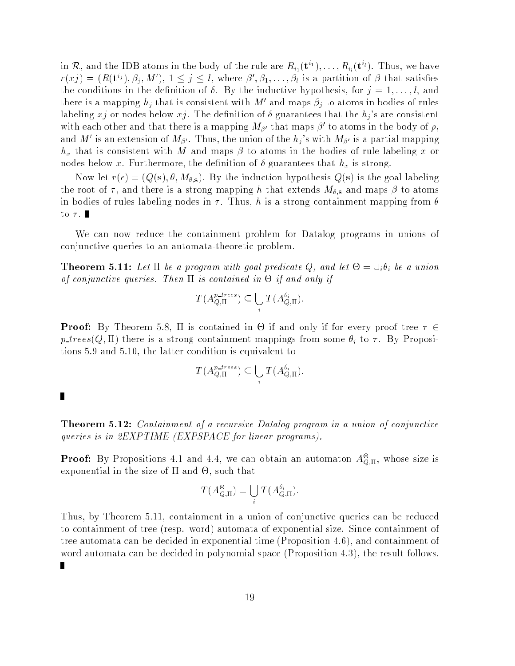in  $\mathcal{R},$  and the IDB atoms in the body of the rule are  $R_{i_1}({\bf{t}}^{i_1}),\ldots,R_{i_l}({\bf{t}}^{i_l}).$  Thus, we have  $r(x_j) = (R(t^{i_j}), \beta_i, M'), 1 \leq j \leq l$ , where  $\beta', \beta_1, \ldots, \beta_l$  is a partition of  $\beta$  that satisfies the conditions in the definition of  $\delta$ . By the inductive hypothesis, for  $j = 1, \ldots, l$ , and there is a mapping  $h_i$  that is consistent with M' and maps  $\beta_i$  to atoms in bodies of rules labeling xj or nodes below xj. The definition of  $\delta$  guarantees that the  $h_j$ 's are consistent with each other and that there is a mapping  $M_{\beta'}$  that maps  $\beta'$  to atoms in the body of  $\rho$ , and M' is an extension of  $M_{\beta'}$ . Thus, the union of the  $h_j$ 's with  $M_{\beta'}$  is a partial mapping  $h_x$  that is consistent with M and maps  $\beta$  to atoms in the bodies of rule labeling x or nodes below x. Furthermore, the definition of  $\delta$  guarantees that  $h_x$  is strong.

Now let  $r(\epsilon) = (Q(s), \theta, M_{\theta, s})$ . By the induction hypothesis  $Q(s)$  is the goal labeling the root of  $\tau$ , and there is a strong mapping h that extends  $M_{\theta,s}$  and maps  $\beta$  to atoms in bodies of rules labeling nodes in  $\tau$ . Thus, h is a strong containment mapping from  $\theta$ to  $\tau$ .

We can now reduce the containment problem for Datalog programs in unions of conjunctive queries to an automata-theoretic problem.

**Theorem 5.11:** Let  $\Pi$  be a program with goal predicate Q, and let  $\Theta = \cup_i \theta_i$  be a union of conjunctive queries. Then is contained in - if and only if

$$
T(A_{Q,\Pi}^{p\text{-}trees}) \subseteq \bigcup_i T(A_{Q,\Pi}^{\theta_i}).
$$

**Proof:** By Theorem 5.8, If is contained in  $\Theta$  if and only if for every proof tree  $\tau$   $\in$  $p\text{-}trees(Q,\Pi)$  there is a strong containment mappings from some  $\theta_i$  to  $\tau$ . By Propositions 5.9 and 5.10, the latter condition is equivalent to

$$
T(A_{Q,\Pi}^{p\text{-}trees}) \subseteq \bigcup_i T(A_{Q,\Pi}^{\theta_i}).
$$

п

п

**Theorem 5.12:** Containment of a recursive Datalog program in a union of conjunctive queries is in 2EXPTIME (EXPSPACE for linear programs).

**Proof:** By Propositions 4.1 and 4.4, we can obtain an automaton  $A_{\text{O},\text{II}}^{\Theta}$ , whose size is exponential in the size of and -, such that

$$
T(A_{Q,\Pi}^{\Theta}) = \bigcup_i T(A_{Q,\Pi}^{\theta_i}).
$$

Thus, by Theorem 5.11, containment in a union of conjunctive queries can be reduced to containment of tree (resp. word) automata of exponential size. Since containment of tree automata can be decided in exponential time (Proposition 4.6), and containment of word automata can be decided in polynomial space (Proposition 4.3), the result follows.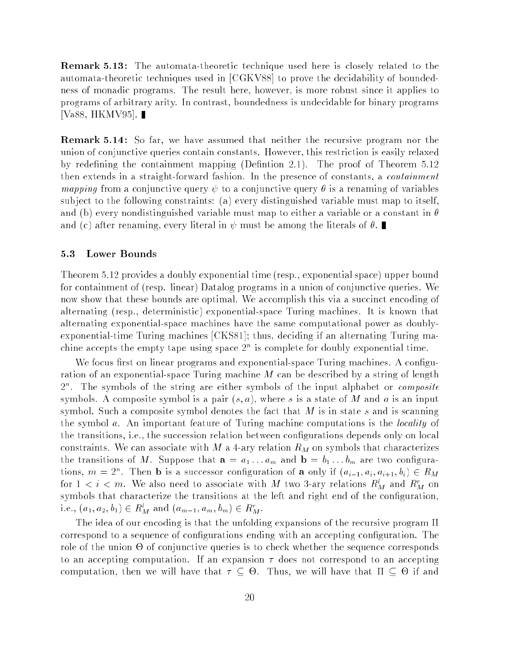Remark 5.13 : The automata-theoretic technique used here is closely related to the automata-theoretic techniques used in [CGKV88] to prove the decidability of boundedness of monadic programs. The result here, however, is more robust since it applies to programs of arbitrary arity. In contrast, boundedness is undecidable for binary programs |Va88, HKMV95|. ∎

Remark 5.14 : So far, we have assumed that neither the recursive program nor the union of conjunctive queries contain constants. However, this restriction is easily relaxed by redefining the containment mapping (Definition 2.1). The proof of Theorem  $5.12$ then extends in a straight-forward fashion. In the presence of constants, a containment mapping from a conjunctive query  $\psi$  to a conjunctive query  $\theta$  is a renaming of variables sub ject to the following constraints: (a) every distinguished variable must map to itself, and (b) every nondistinguished variable must map to either a variable or a constant in  $\theta$ and (c) after renaming, every literal in  $\psi$  must be among the literals of  $\theta$ .

#### 5.3 Lower Bounds

Theorem 5.12 provides a doubly exponential time (resp., exponential space) upper bound for containment of (resp. linear) Datalog programs in a union of conjunctive queries. We now show that these bounds are optimal. We accomplish this via a succinct encoding of alternating (resp., deterministic) exponential-space Turing machines. It is known that alternating exponential-space machines have the same computational power as doublyexponential-time Turing machines [CKS81]; thus, deciding if an alternating Turing machine accepts the empty tape using space 2 <sup>n</sup> is complete for doubly exponential time.

We focus first on linear programs and exponential-space Turing machines. A configuration of an exponential-space Turing machine M can be described by a string of length  $2^{\circ}$ . The symbols of the string are either symbols of the input alphabet or *composite* symbols. A composite symbol is a pair  $(s, a)$ , where s is a state of M and a is an input symbol. Such a composite symbol denotes the fact that  $M$  is in state s and is scanning the symbol a. An important feature of Turing machine computations is the *locality* of the transitions, i.e., the succession relation between congurations depends only on local constraints. We can associate with  $M$  a 4-ary relation  $R_M$  on symbols that characterizes the transitions of M. Suppose that  $a = a_1 \ldots a_m$  and  $b = b_1 \ldots b_m$  are two configurations,  $m = 2^n$ . Then **b** is a successor configuration of **a** only if  $(a_{i-1}, a_i, a_{i+1}, b_i) \in R_M$ for  $1 < i < m$ . We also need to associate with M two 3-ary relations  $R_M^{\iota}$  and  $R_M^r$  on symbols that characterize the transitions at the left and right end of the configuration, i.e.,  $(a_1, a_2, b_1) \in R_M^l$  and  $(a_{m-1}, a_m, b_m) \in R_M^r$ .

The idea of our encoding is that the unfolding expansions of the recursive program  $\Pi$ correspond to a sequence of configurations ending with an accepting configuration. The role of the union - of conjunctive queries is to check whether the sequence corresponds to an accepting computation. If an expansion  $\tau$  does not correspond to an accepting computation, then we will have that  $\tau\subseteq \Theta$ . Thus, we will have that  $\Pi\subseteq \Theta$  if and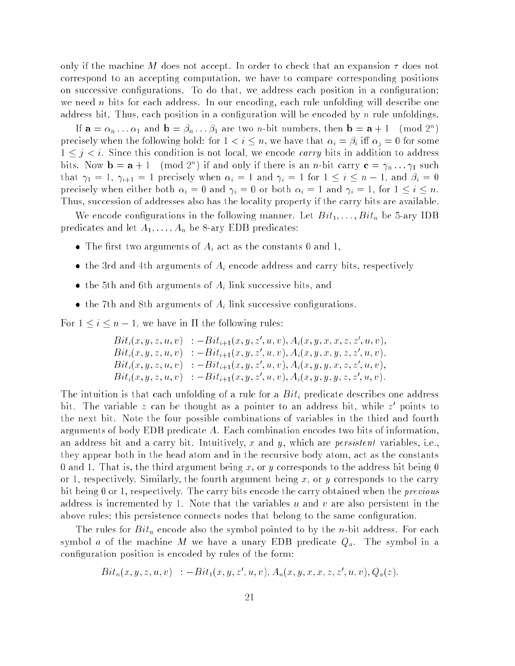only if the machine M does not accept. In order to check that an expansion  $\tau$  does not correspond to an accepting computation, we have to compare corresponding positions on successive configurations. To do that, we address each position in a configuration; we need n bits for each address. In our encoding, each rule unfolding will describe one address bit. Thus, each position in a configuration will be encoded by  $n$  rule unfoldings.

If  $\mathbf{a} = \alpha_n \dots \alpha_1$  and  $\mathbf{b} = \beta_n \dots \beta_1$  are two *n*-bit numbers, then  $\mathbf{b} = \mathbf{a} + 1 \pmod{2^n}$ precisely when the following hold: for  $1 < i \leq n$ , we have that  $\alpha_i = \beta_i$  iff  $\alpha_j = 0$  for some  $1 \leq j \leq i$ . Since this condition is not local, we encode *carry* bits in addition to address bits. Now  $\mathbf{b} = \mathbf{a} + 1 \pmod{2^n}$  if and only if there is an *n*-bit carry  $\mathbf{c} = \gamma_n \ldots \gamma_1$  such that  $\gamma_1 = 1$ ,  $\gamma_{i+1} = 1$  precisely when  $\alpha_i = 1$  and  $\gamma_i = 1$  for  $1 \le i \le n-1$ , and  $\beta_i = 0$ precisely when either both  $\alpha_i = 0$  and  $\gamma_i = 0$  or both  $\alpha_i = 1$  and  $\gamma_i = 1$ , for  $1 \leq i \leq n$ . Thus, succession of addresses also has the locality property if the carry bits are available.

We encode configurations in the following manner. Let  $Bit_1, \ldots, Bit_n$  be 5-ary IDB predicates and let  $A_1, \ldots, A_n$  be 8-ary EDB predicates:

- The first two arguments of  $A_i$  act as the constants 0 and 1,
- the 3rd and 4th arguments of  $A_i$  encode address and carry bits, respectively
- the 5th and 6th arguments of  $A_i$  link successive bits, and
- the 7th and 8th arguments of  $A_i$  link successive configurations.

For  $1 \leq i \leq n - 1$ , we have in  $\Pi$  the following rules:

$$
Bit_i(x, y, z, u, v) : - Bit_{i+1}(x, y, z', u, v), A_i(x, y, x, x, z, z', u, v),\nBit_i(x, y, z, u, v) : - Bit_{i+1}(x, y, z', u, v), A_i(x, y, x, y, z, z', u, v),\nBit_i(x, y, z, u, v) : - Bit_{i+1}(x, y, z', u, v), A_i(x, y, y, x, z, z', u, v),\nBit_i(x, y, z, u, v) : -Bit_{i+1}(x, y, z', u, v), A_i(x, y, y, y, z, z', u, v).
$$

The intuition is that each unfolding of a rule for a  $Bit<sub>i</sub>$  predicate describes one address bit. The variable  $z$  can be thought as a pointer to an address bit, while  $z^+$  points to the next bit. Note the four possible combinations of variables in the third and fourth arguments of body EDB predicate A. Each combination encodes two bits of information, an address bit and a carry bit. Intuitively, x and y, which are *persistent* variables, i.e., they appear both in the head atom and in the recursive body atom, act as the constants 0 and 1. That is, the third argument being x, or y corresponds to the address bit being 0 or 1, respectively. Similarly, the fourth argument being  $x$ , or  $y$  corresponds to the carry bit being 0 or 1, respectively. The carry bits encode the carry obtained when the previous address is incremented by 1. Note that the variables  $u$  and  $v$  are also persistent in the above rules; this persistence connects nodes that belong to the same conguration.

The rules for  $Bit_n$  encode also the symbol pointed to by the *n*-bit address. For each symbol a of the machine M we have a unary EDB predicate  $Q_a$ . The symbol in a conguration position is encoded by rules of the form:

$$
Bit_n(x, y, z, u, v) : - Bit_1(x, y, z', u, v), A_n(x, y, x, x, z, z', u, v), Q_a(z).
$$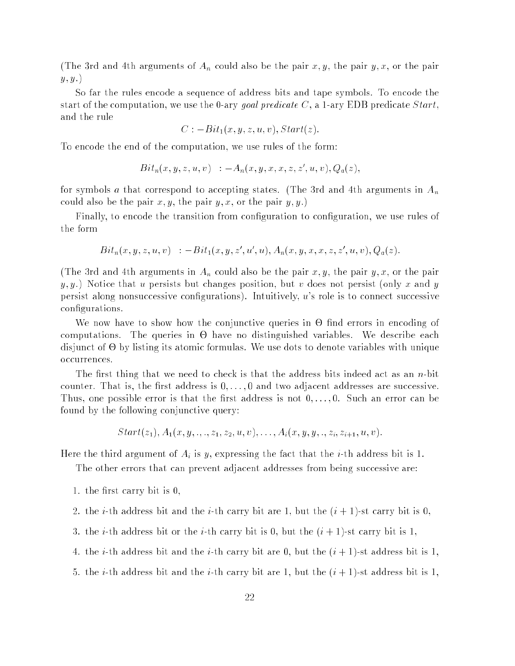(The 3rd and 4th arguments of  $A_n$  could also be the pair  $x, y$ , the pair  $y, x$ , or the pair  $y, y.$ 

So far the rules encode a sequence of address bits and tape symbols. To encode the start of the computation, we use the 0-ary goal predicate  $C$ , a 1-ary EDB predicate Start, and the rule

$$
C:-Bit_1(x,y,z,u,v),Start(z).
$$

To encode the end of the computation, we use rules of the form:

$$
Bit_n(x, y, z, u, v) : -A_n(x, y, x, x, z, z', u, v), Q_a(z),
$$

for symbols a that correspond to accepting states. (The 3rd and 4th arguments in  $A_n$ could also be the pair  $x, y$ , the pair  $y, x$ , or the pair  $y, y$ .)

Finally, to encode the transition from conguration to conguration, we use rules of the form

$$
Bit_n(x, y, z, u, v) : - Bit_1(x, y, z', u', u), A_n(x, y, x, x, z, z', u, v), Q_a(z).
$$

(The 3rd and 4th arguments in  $A_n$  could also be the pair x, y, the pair y, x, or the pair  $y, y$ .) Notice that u persists but changes position, but v does not persist (only x and y persist along nonsuccessive configurations). Intuitively,  $u$ 's role is to connect successive configurations.

where the contract the contract interactive queries in a contract in the contract of  $\mathcal{A}$ computations. The queries in a more in an influence control is a more computation disjunct of - by listing its atomic formulas. We use dots to denote variables with unique occurrences.

The first thing that we need to check is that the address bits indeed act as an  $n$ -bit counter. That is, the first address is  $0, \ldots, 0$  and two adjacent addresses are successive. Thus, one possible error is that the first address is not  $0, \ldots, 0$ . Such an error can be found by the following conjunctive query:

$$
Start(z_1), A_1(x, y, \ldots, z_1, z_2, u, v), \ldots, A_i(x, y, y, \ldots, z_i, z_{i+1}, u, v).
$$

Here the third argument of  $A_i$  is y, expressing the fact that the *i*-th address bit is 1.

The other errors that can prevent adjacent addresses from being successive are:

- 1. the first carry bit is  $0$ ,
- 2. the *i*-th address bit and the *i*-th carry bit are 1, but the  $(i + 1)$ -st carry bit is 0,
- 3. the *i*-th address bit or the *i*-th carry bit is 0, but the  $(i + 1)$ -st carry bit is 1,
- 4. the *i*-th address bit and the *i*-th carry bit are 0, but the  $(i + 1)$ -st address bit is 1,
- 5. the *i*-th address bit and the *i*-th carry bit are 1, but the  $(i + 1)$ -st address bit is 1,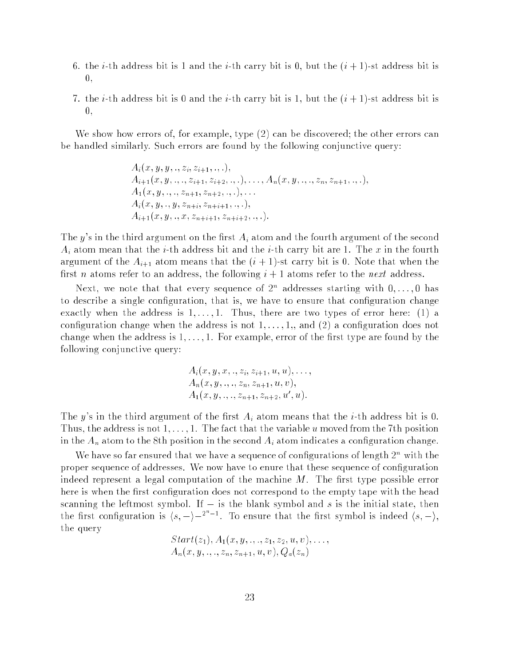- 6. the *i*-th address bit is 1 and the *i*-th carry bit is 0, but the  $(i + 1)$ -st address bit is 0,
- 7. the *i*-th address bit is 0 and the *i*-th carry bit is 1, but the  $(i + 1)$ -st address bit is 0,

We show how errors of, for example, type (2) can be discovered; the other errors can be handled similarly. Such errors are found by the following conjunctive query:

$$
A_i(x, y, y, \ldots, z_i, z_{i+1}, \ldots),
$$
  
\n
$$
A_{i+1}(x, y, \ldots, z_{i+1}, z_{i+2}, \ldots), \ldots, A_n(x, y, \ldots, z_n, z_{n+1}, \ldots),
$$
  
\n
$$
A_1(x, y, \ldots, z_{n+1}, z_{n+2}, \ldots), \ldots
$$
  
\n
$$
A_i(x, y, \ldots, y, z_{n+i}, z_{n+i+1}, \ldots),
$$
  
\n
$$
A_{i+1}(x, y, \ldots, x, z_{n+i+1}, z_{n+i+2}, \ldots).
$$

The y's in the third argument on the first  $A_i$  atom and the fourth argument of the second  $A_i$  atom mean that the *i*-th address bit and the *i*-th carry bit are 1. The x in the fourth argument of the  $A_{i+1}$  atom means that the  $(i + 1)$ -st carry bit is 0. Note that when the first *n* atoms refer to an address, the following  $i + 1$  atoms refer to the *next* address.

next, we note that that every sequence of 2<sup>2</sup> addresses starting with  $0,\ldots,0$  has to describe a single configuration, that is, we have to ensure that configuration change exactly when the address is  $1, \ldots, 1$ . Thus, there are two types of error here: (1) a configuration change when the address is not  $1, \ldots, 1,$  and (2) a configuration does not change when the address is  $1, \ldots, 1$ . For example, error of the first type are found by the following conjunctive query:

$$
A_i(x, y, x, \ldots, z_i, z_{i+1}, u, u), \ldots,
$$
  
\n $A_n(x, y, \ldots, z_n, z_{n+1}, u, v),$   
\n $A_1(x, y, \ldots, z_{n+1}, z_{n+2}, u', u).$ 

The y's in the third argument of the first  $A_i$  atom means that the *i*-th address bit is 0. Thus, the address is not  $1, \ldots, 1$ . The fact that the variable u moved from the 7th position in the  $A_n$  atom to the 8th position in the second  $A_i$  atom indicates a configuration change.

We have so far ensured that we have a sequence of configurations of length  $2^{\circ}$  with the proper sequence of addresses. We now have to enure that these sequence of conguration indeed represent a legal computation of the machine  $M$ . The first type possible error here is when the first configuration does not correspond to the empty tape with the head scanning the leftmost symbol. If  $-$  is the blank symbol and s is the initial state, then the first configuration is  $\langle s, - \rangle$   $-2^{n-1}$ . To ensure that the first symbol is indeed  $\langle s, - \rangle$ , the query

$$
Start(z_1), A_1(x, y, \ldots, z_1, z_2, u, v), \ldots, A_n(x, y, \ldots, z_n, z_{n+1}, u, v), Q_a(z_n)
$$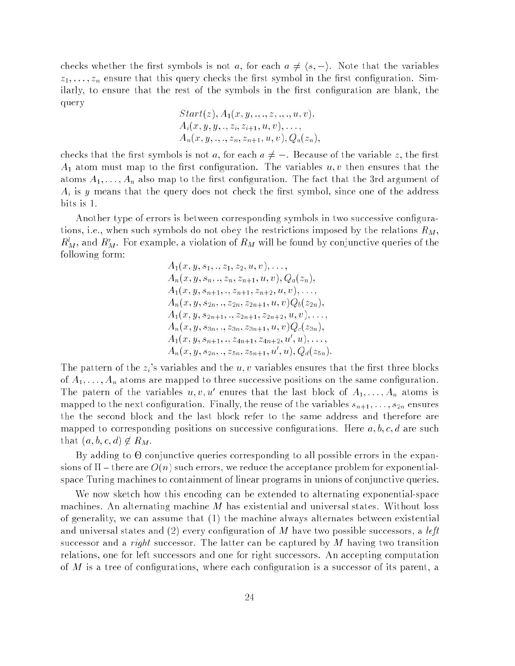checks whether the first symbols is not a, for each  $a \neq \langle s, - \rangle$ . Note that the variables  $z_1, \ldots, z_n$  ensure that this query checks the first symbol in the first configuration. Similarly, to ensure that the rest of the symbols in the first configuration are blank, the query

$$
Start(z), A_1(x, y, ..., z, ..., u, v), A_i(x, y, y, ..., z_i, z_{i+1}, u, v), ..., A_n(x, y, ..., z_n, z_{n+1}, u, v), Q_a(z_n),
$$

checks that the first symbols is not a, for each  $a \neq -$ . Because of the variable z, the first  $A_1$  atom must map to the first configuration. The variables  $u, v$  then ensures that the atoms  $A_1, \ldots, A_n$  also map to the first configuration. The fact that the 3rd argument of  $A_i$  is y means that the query does not check the first symbol, since one of the address bits is 1.

Another type of errors is between corresponding symbols in two successive configurations, i.e., when such symbols do not obey the restrictions imposed by the relations  $R_M$ ,  $R_M^{\iota}$ , and  $R_M^r$ . For example, a violation of  $R_M$  will be found by conjunctive queries of the following form:

$$
A_1(x, y, s_1, ., z_1, z_2, u, v), \ldots,
$$
  
\n
$$
A_n(x, y, s_n, ., z_n, z_{n+1}, u, v), Q_a(z_n),
$$
  
\n
$$
A_1(x, y, s_{n+1}, ., z_{n+1}, z_{n+2}, u, v), \ldots,
$$
  
\n
$$
A_n(x, y, s_{2n}, ., z_{2n}, z_{2n+1}, u, v)Q_b(z_{2n}),
$$
  
\n
$$
A_1(x, y, s_{2n+1}, ., z_{2n+1}, z_{2n+2}, u, v), \ldots,
$$
  
\n
$$
A_n(x, y, s_{3n}, ., z_{3n}, z_{3n+1}, u, v)Q_c(z_{3n}),
$$
  
\n
$$
A_1(x, y, s_{n+1}, ., z_{4n+1}, z_{4n+2}, u', u), \ldots,
$$
  
\n
$$
A_n(x, y, s_{2n}, ., z_{5n}, z_{5n+1}, u', u), Q_d(z_{5n}).
$$

The pattern of the  $z_i$ 's variables and the  $u, v$  variables ensures that the first three blocks of  $A_1, \ldots, A_n$  atoms are mapped to three successive positions on the same configuration. The patern of the variables  $u, v, u'$  enures that the last block of  $A_1, \ldots, A_n$  atoms is mapped to the next configuration. Finally, the reuse of the variables  $s_{n+1}, \ldots, s_{2n}$  ensures the the second block and the last block refer to the same address and therefore are mapped to corresponding positions on successive configurations. Here  $a, b, c, d$  are such that  $(a, b, c, d) \notin R_M$ .

 $B_1$  adding to - conjunction  $C_2$  and  $C_3$  all possible errors in the expansion in the expansion of expansion  $C_3$ sions of  ${ \Pi}$  – there are  $O(n)$  such errors, we reduce the acceptance problem for exponentialspace Turing machines to containment of linear programs in unions of conjunctive queries.

We now sketch how this encoding can be extended to alternating exponential-space machines. An alternating machine M has existential and universal states. Without loss of generality, we can assume that (1) the machine always alternates between existential and universal states and (2) every configuration of M have two possible successors, a left successor and a *right* successor. The latter can be captured by  $M$  having two transition relations, one for left successors and one for right successors. An accepting computation of  $M$  is a tree of configurations, where each configuration is a successor of its parent, a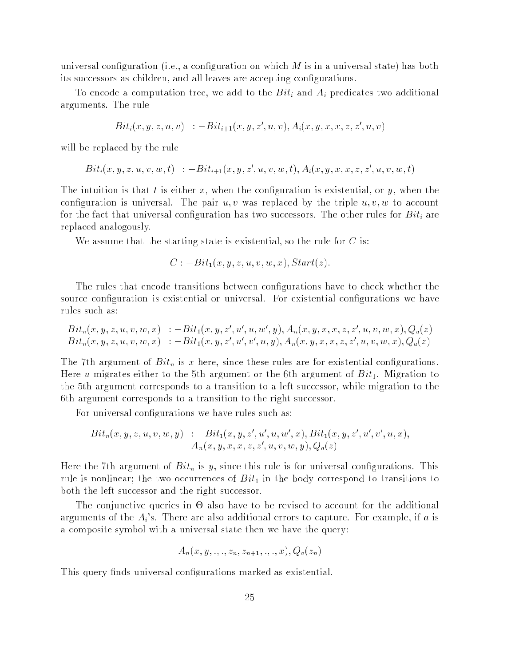universal configuration (i.e., a configuration on which  $M$  is in a universal state) has both its successors as children, and all leaves are accepting configurations.

To encode a computation tree, we add to the  $Bit_i$  and  $A_i$  predicates two additional arguments. The rule

$$
Bit_i(x, y, z, u, v) : - Bit_{i+1}(x, y, z', u, v), A_i(x, y, x, x, z, z', u, v)
$$

will be replaced by the rule

 $Bit_i(x, y, z, u, v, w, t)$  :  $-Bit_{i+1}(x, y, z', u, v, w, t)$ ,  $A_i(x, y, x, x, z, z', u, v, w, t)$ 

The intuition is that t is either x, when the configuration is existential, or y, when the configuration is universal. The pair  $u, v$  was replaced by the triple  $u, v, w$  to account for the fact that universal configuration has two successors. The other rules for  $Bit_i$  are replaced analogously.

We assume that the starting state is existential, so the rule for  $C$  is:

$$
C: -Bit_1(x, y, z, u, v, w, x), Start(z).
$$

The rules that encode transitions between congurations have to check whether the source configuration is existential or universal. For existential configurations we have rules such as:

$$
Bit_n(x, y, z, u, v, w, x) := Bit_1(x, y, z', u', u, w', y), A_n(x, y, x, x, z, z', u, v, w, x), Q_a(z) Bit_n(x, y, z, u, v, w, x) := Bit_1(x, y, z', u', v', u, y), A_n(x, y, x, x, z, z', u, v, w, x), Q_a(z)
$$

The 7th argument of  $Bit_n$  is x here, since these rules are for existential configurations. Here u migrates either to the 5th argument or the 6th argument of  $Bit_1$ . Migration to the 5th argument corresponds to a transition to a left successor, while migration to the 6th argument corresponds to a transition to the right successor.

For universal configurations we have rules such as:

$$
Bit_n(x, y, z, u, v, w, y) :=-Bit_1(x, y, z', u', u, w', x), Bit_1(x, y, z', u', v', u, x),
$$
  

$$
A_n(x, y, x, x, z, z', u, v, w, y), Q_a(z)
$$

Here the 7th argument of  $Bit_n$  is y, since this rule is for universal configurations. This rule is nonlinear; the two occurrences of  $Bit_1$  in the body correspond to transitions to both the left successor and the right successor.

The conjunctive queries in - also have to be revised to account for the additional arguments of the  $A_i$ 's. There are also additional errors to capture. For example, if a is a composite symbol with a universal state then we have the query:

$$
A_n(x,y,,.,.z_n,z_{n+1},.,.,x), Q_a(z_n)
$$

This query finds universal configurations marked as existential.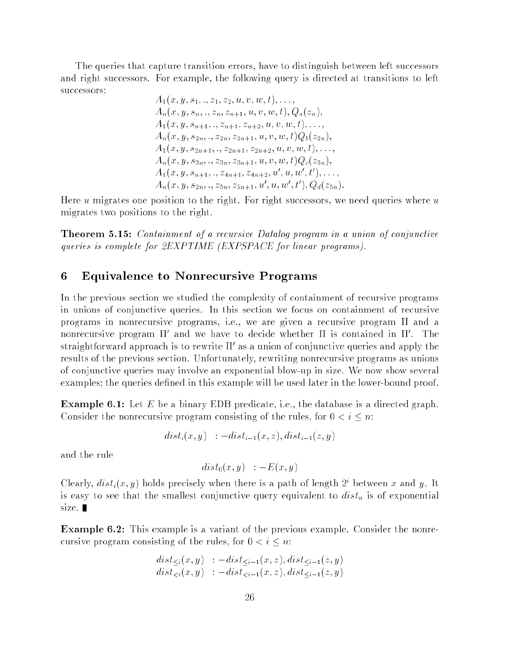The queries that capture transition errors, have to distinguish between left successors and right successors. For example, the following query is directed at transitions to left successors:

> $A_1(x, y, s_1, ., z_1, z_2, u, v, w, t), \ldots,$  $A_n(x, y, s_n, \ldots, z_n, z_{n+1}, u, v, w, t), Q_a(z_n),$  $A_1(x, y, s_{n+1}, \ldots, z_{n+1}, z_{n+2}, u, v, w, t), \ldots,$  $A_n(x, y, s_{2n}, \ldots, z_{2n}, z_{2n+1}, u, v, w, t) Q_b(z_{2n}),$  $A_1(x, y, s_{2n+1}, \ldots, z_{2n+1}, z_{2n+2}, u, v, w, t), \ldots,$  $A_n(x, y, s_{3n}, \ldots, z_{3n}, z_{3n+1}, u, v, w, t) Q_c(z_{3n}),$  $A_1(x, y, s_{n+1}, \ldots, z_{4n+1}, z_{4n+2}, u', u, w', t'), \ldots,$  $A_n(x, y, s_{2n}, .., z_{5n}, z_{5n+1}, u', u, w', t')$ ,  $Q_d(z_{5n})$ .

Here  $u$  migrates one position to the right. For right successors, we need queries where  $u$ migrates two positions to the right.

Theorem 5.15: Containment of a recursive Datalog program in a union of conjunctive queries is complete for 2EXPTIME (EXPSPACE for linear programs).

# 6 Equivalence to Nonrecursive Programs

In the previous section we studied the complexity of containment of recursive programs in unions of conjunctive queries. In this section we focus on containment of recursive programs in nonrecursive programs, i.e., we are given a recursive program  $\Pi$  and a nonrecursive program 11 and we have to decide whether II is contained in H . The  $s$ traightforward approach is to rewrite  $\scriptstyle\rm II$  as a union of conjunctive queries and apply the results of the previous section. Unfortunately, rewriting nonrecursive programs as unions of conjunctive queries may involve an exponential blow-up in size. We now show several examples; the queries defined in this example will be used later in the lower-bound proof.

**Example 6.1:** Let E be a binary EDB predicate, i.e., the database is a directed graph. Consider the nonrecursive program consisting of the rules, for  $0 < i \leq n$ :

$$
dist_i(x,y) \quad : -dist_{i-1}(x,z), dist_{i-1}(z,y)
$$

and the rule

$$
dist_0(x,y) \quad : -E(x,y)
$$

Clearly,  $dist_i(x, y)$  holds precisely when there is a path of length  $2^i$  between x and y. It is easy to see that the smallest conjunctive query equivalent to  $dist_n$  is of exponential size.

Example 6.2: This example is a variant of the previous example. Consider the nonrecursive program consisting of the rules, for  $0 < i \leq n$ :

$$
dist_{\leq i}(x, y) : -dist_{\leq i-1}(x, z), dist_{\leq i-1}(z, y) dist_{\leq i}(x, y) : -dist_{\leq i-1}(x, z), dist_{\leq i-1}(z, y)
$$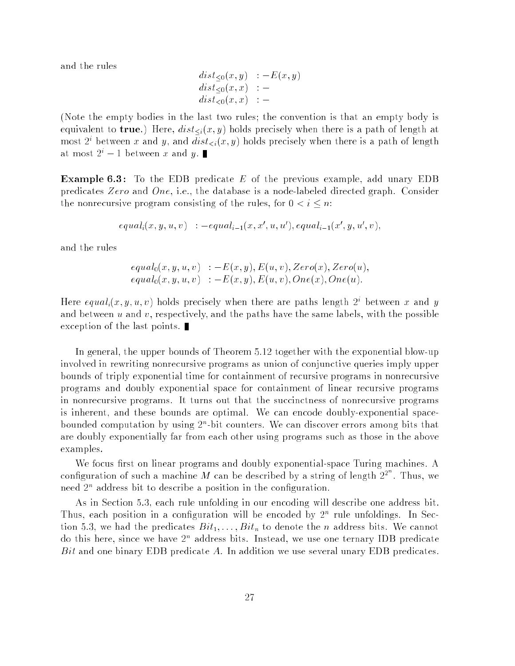and the rules

$$
dist_{\leq 0}(x, y) := E(x, y)
$$
  
\n
$$
dist_{\leq 0}(x, x) :=
$$
  
\n
$$
dist_{<0}(x, x) :=
$$

(Note the empty bodies in the last two rules; the convention is that an empty body is equivalent to **true**.) Here,  $dist_{\leq i}(x, y)$  holds precisely when there is a path of length at most 2<sup>*i*</sup> between x and y, and  $dist_{\leq i}(x, y)$  holds precisely when there is a path of length at most  $2^{i} - 1$  between x and y.

**Example 6.3:** To the EDB predicate E of the previous example, add unary EDB predicates Zero and One, i.e., the database is a node-labeled directed graph. Consider the nonrecursive program consisting of the rules, for  $0 < i \leq n$ :

$$
equal_i(x, y, u, v) : -equal_{i-1}(x, x', u, u'), equal_{i-1}(x', y, u', v),
$$

and the rules

$$
equal_0(x, y, u, v) : -E(x, y), E(u, v), Zero(x), Zero(u),
$$
  

$$
equal_0(x, y, u, v) : -E(x, y), E(u, v), One(x), One(u).
$$

Here  $equal_i(x, y, u, v)$  holds precisely when there are paths length  $2^i$  between x and y and between  $u$  and  $v$ , respectively, and the paths have the same labels, with the possible exception of the last points.

In general, the upper bounds of Theorem 5.12 together with the exponential blow-up involved in rewriting nonrecursive programs as union of conjunctive queries imply upper bounds of triply exponential time for containment of recursive programs in nonrecursive programs and doubly exponential space for containment of linear recursive programs in nonrecursive programs. It turns out that the succinctness of nonrecursive programs is inherent, and these bounds are optimal. We can encode doubly-exponential spacebounded computation by using 2<sup>2</sup>-bit counters. We can discover errors among bits that are doubly exponentially far from each other using programs such as those in the above examples.

We focus first on linear programs and doubly exponential-space Turing machines. A configuration of such a machine M can be described by a string of length  $2^{2^n}$ . Thus, we need 2<sup>n</sup> address bit to describe a position in the conguration.

As in Section 5.3, each rule unfolding in our encoding will describe one address bit. Thus, each position in a conguration will be encoded by 2<sup>n</sup> rule unfoldings. In Section 5.3, we had the predicates  $Bit_1, \ldots, Bit_n$  to denote the *n* address bits. We cannot do this here, since we have 2<sup>n</sup> address bits. Instead, we use one ternary IDB predicate  $Bit$  and one binary EDB predicate A. In addition we use several unary EDB predicates.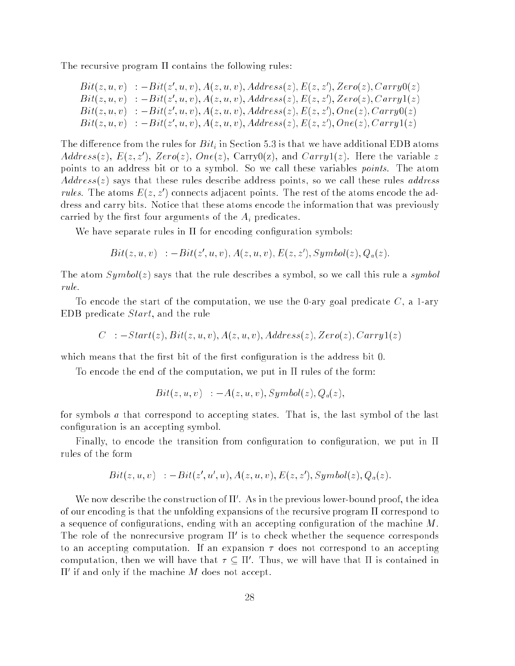The recursive program  $\Pi$  contains the following rules:

 $Bit(z,u,v) \; \; : -Bit(z',u,v), A(z,u,v), Address(z), E(z,z'), Zero(z), Carry0(z)$  $Bit(z,u,v) \; \; : -Bit(z',u,v), A(z,u,v), Address(z), E(z,z'), Zero(z), Carry1(z)$  $Bit(z, u, v)$  :  $-Bit(z', u, v), A(z, u, v), Address(z), E(z, z'), One(z), Carry0(z)$  $Bit(z, u, v)$  :  $-Bit(z', u, v), A(z, u, v), Address(z), E(z, z'), One(z), Carry1(z)$ 

The difference from the rules for  $Bit_i$  in Section 5.3 is that we have additional EDB atoms  $Address(z), E(z, z'), Zero(z), One(z), Carry0(z), and Carry1(z). Here the variable z$ points to an address bit or to a symbol. So we call these variables points. The atom  $Address(z)$  says that these rules describe address points, so we call these rules *address* rules. The atoms  $E(z, z')$  connects adjacent points. The rest of the atoms encode the address and carry bits. Notice that these atoms encode the information that was previously carried by the first four arguments of the  $A_i$  predicates.

We have separate rules in  $\Pi$  for encoding configuration symbols:

$$
Bit(z, u, v) \quad : - Bit(z', u, v), A(z, u, v), E(z, z'), Symbol(z), Q_a(z).
$$

The atom  $Symbol(z)$  says that the rule describes a symbol, so we call this rule a symbol rule.

To encode the start of the computation, we use the 0-ary goal predicate  $C$ , a 1-ary EDB predicate Start, and the rule

$$
C_-: -Start(z), Bit(z, u, v), A(z, u, v), Address(z), Zero(z), Carry1(z)\\
$$

which means that the first bit of the first configuration is the address bit 0.

To encode the end of the computation, we put in  $\Pi$  rules of the form:

$$
Bit(z, u, v) \quad : -A(z, u, v), Symbol(z), Q_a(z),
$$

for symbols a that correspond to accepting states. That is, the last symbol of the last conguration is an accepting symbol.

Finally, to encode the transition from configuration to configuration, we put in  $\Pi$ rules of the form

$$
Bit(z, u, v) : - Bit(z', u', u), A(z, u, v), E(z, z'), Symbol(z), Q_a(z).
$$

We now describe the construction of II. As in the previous lower-bound proof, the idea of our encoding is that the unfolding expansions of the recursive program  $\Pi$  correspond to a sequence of configurations, ending with an accepting configuration of the machine  $M$ . The role of the nonrecursive program <sup>0</sup> is to check whether the sequence corresponds to an accepting computation. If an expansion  $\tau$  does not correspond to an accepting computation, then we will have that  $\tau\subseteq\Pi$  . Thus, we will have that II is contained in  $\Pi'$  if and only if the machine M does not accept.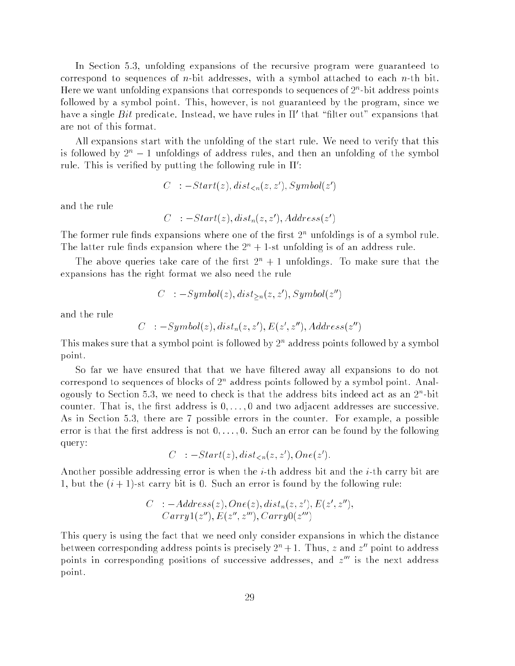In Section 5.3, unfolding expansions of the recursive program were guaranteed to correspond to sequences of *n*-bit addresses, with a symbol attached to each *n*-th bit. Here we want unfolding expansions that corresponds to sequences of 2<sup>n</sup> -bit address points followed by a symbol point. This, however, is not guaranteed by the program, since we have a single  $Bit$  predicate. Instead, we have rules in  $\Pi'$  that "filter out" expansions that are not of this format.

All expansions start with the unfolding of the start rule. We need to verify that this is followed by  $2^n - 1$  unfoldings of address rules, and then an unfolding of the symbol rule. Inis is verified by putting the following rule in II :

$$
C^- := Start(z), dist_{
$$

and the rule

$$
C^-: -Start(z), dist_n(z, z'), Address(z')
$$

The former rule finds expansions where one of the first 2<sup>n</sup> unfoldings is of a symbol rule. The latter rule finds expansion where the  $2<sup>n</sup> + 1$ -st unfolding is of an address rule.

The above queries take care of the first  $2<sup>n</sup> + 1$  unfoldings. To make sure that the expansions has the right format we also need the rule

$$
C^- := Symbol(z), dist_{>n}(z, z'), Symbol(z'')
$$

and the rule

$$
C^-: -Symbol(z), dist_n(z,z'), E(z',z''), Address(z'')
$$

This makes sure that a symbol point is followed by 2<sup>n</sup> address points followed by a symbol point.

So far we have ensured that that we have filtered away all expansions to do not correspond to sequences of blocks of 2° address points followed by a symbol point. Analogously to Section 5.3, we need to check is that the address bits indeed act as an  $2^{\circ}$ -bit counter. That is, the first address is  $0, \ldots, 0$  and two adjacent addresses are successive. As in Section 5.3, there are 7 possible errors in the counter. For example, a possible error is that the first address is not  $0, \ldots, 0$ . Such an error can be found by the following query:

 $C : -Start(z), dist_{\leq n}(z, z'), One(z').$ 

Another possible addressing error is when the *i*-th address bit and the *i*-th carry bit are 1, but the  $(i + 1)$ -st carry bit is 0. Such an error is found by the following rule:

$$
C \quad : -Address(z), One(z), dist_n(z, z'), E(z', z''),
$$
  

$$
Carry1(z''), E(z'', z'''), Carry0(z''')
$$

This query is using the fact that we need only consider expansions in which the distance between corresponding address-points is precisely  $2^n + 1$ . Thus,  $z$  and  $z^n$  point to address points in corresponding positions of successive addresses, and  $z^{\cdots}$  is the next address point.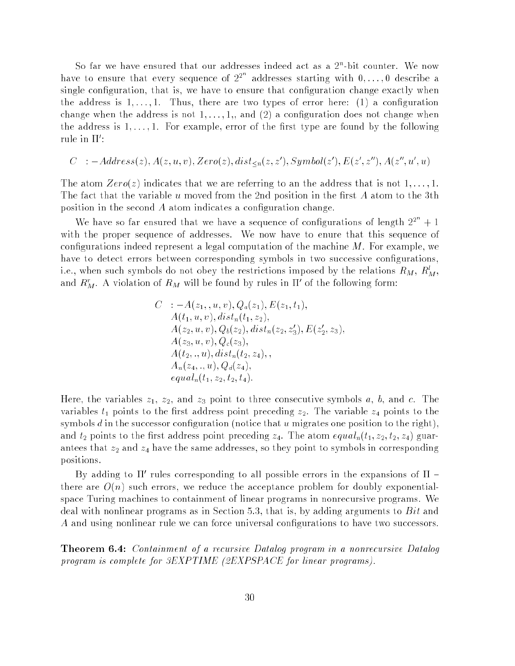so far we have ensured that our addresses indeed act as a 2°-bit counter. We now have to ensure that every sequence of  $2^{2}$  addresses starting with  $0, \ldots, 0$  describe a single configuration, that is, we have to ensure that configuration change exactly when the address is  $1, \ldots, 1$ . Thus, there are two types of error here: (1) a configuration change when the address is not  $1, \ldots, 1,$ , and (2) a configuration does not change when the address is  $1, \ldots, 1$ . For example, error of the first type are found by the following rule in 11 :

$$
C^-: -Address(z), A(z, u, v), Zero(z), dist_{\leq n}(z, z'), Symbol(z'), E(z', z''), A(z'', u', u)
$$

The atom  $Zero(z)$  indicates that we are referring to an the address that is not 1,..., 1. The fact that the variable  $u$  moved from the 2nd position in the first  $A$  atom to the 3th position in the second  $A$  atom indicates a configuration change.

We have so far ensured that we have a sequence of configurations of length  $2^{2^{n}}+1$ with the proper sequence of addresses. We now have to enure that this sequence of configurations indeed represent a legal computation of the machine  $M$ . For example, we have to detect errors between corresponding symbols in two successive configurations, i.e., when such symbols do not obey the restrictions imposed by the relations  $R_M, \, R'_M,$ and  $R_M^r$ . A violation of  $R_M$  will be found by rules in  $\Pi'$  of the following form:

$$
C : -A(z_1, , u, v), Q_a(z_1), E(z_1, t_1),
$$
  
\n
$$
A(t_1, u, v), dist_n(t_1, z_2),
$$
  
\n
$$
A(z_2, u, v), Q_b(z_2), dist_n(z_2, z'_3), E(z'_2, z_3),
$$
  
\n
$$
A(z_3, u, v), Q_c(z_3),
$$
  
\n
$$
A(t_2, ., u), dist_n(t_2, z_4),
$$
  
\n
$$
A_n(z_4, ., u), Q_d(z_4),
$$
  
\n
$$
equal_n(t_1, z_2, t_2, t_4).
$$

Here, the variables  $z_1$ ,  $z_2$ , and  $z_3$  point to three consecutive symbols a, b, and c. The variables  $t_1$  points to the first address point preceding  $z_2$ . The variable  $z_4$  points to the symbols  $d$  in the successor configuration (notice that  $u$  migrates one position to the right), and  $t_2$  points to the first address point preceding  $z_4$ . The atom  $equal_n(t_1, z_2, t_2, z_4)$  guarantees that  $z_2$  and  $z_4$  have the same addresses, so they point to symbols in corresponding positions.

 $\overline{D}$ y adding to 11 rules corresponding to all possible errors in the expansions of  $\overline{D}$  = there are  $O(n)$  such errors, we reduce the acceptance problem for doubly exponentialspace Turing machines to containment of linear programs in nonrecursive programs. We deal with nonlinear programs as in Section 5.3, that is, by adding arguments to  $Bit$  and A and using nonlinear rule we can force universal configurations to have two successors.

Theorem 6.4: Containment of a recursive Datalog program in a nonrecursive Datalog program is complete for 3EXPTIME (2EXPSPACE for linear programs).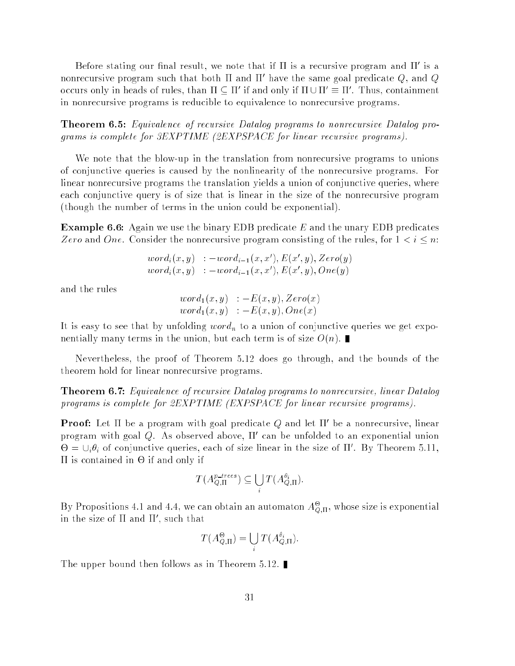Before stating our final result, we note that if II is a recursive program and II is a nonrecursive program such that both  $\Pi$  and  $\Pi'$  have the same goal predicate  $Q,$  and  $Q$ occurs only in neads of rules, than  $\Pi\subseteq\Pi$  if and only if  $\Pi\cup\Pi|= \Pi$  . Thus, containment in nonrecursive programs is reducible to equivalence to nonrecursive programs.

Theorem 6.5: Equivalence of recursive Datalog programs to nonrecursive Datalog programs is complete for 3EXPTIME (2EXPSPACE for linear recursive programs).

We note that the blow-up in the translation from nonrecursive programs to unions of conjunctive queries is caused by the nonlinearity of the nonrecursive programs. For linear nonrecursive programs the translation yields a union of conjunctive queries, where each conjunctive query is of size that is linear in the size of the nonrecursive program (though the number of terms in the union could be exponential).

**Example 6.6:** Again we use the binary EDB predicate E and the unary EDB predicates Zero and One. Consider the nonrecursive program consisting of the rules, for  $1 < i \leq n$ .

> $word_i(x, y)$  :  $-word_{i-1}(x, x'), E(x', y), Zero(y)$  $word_i(x, y) := word_{i-1}(x, x'), E(x', y), One(y)$

and the rules

$$
\begin{array}{ll} word_1(x,y) & := E(x,y), Zero(x) \\ word_1(x,y) & := E(x,y), One(x) \end{array}
$$

It is easy to see that by unfolding  $word_n$  to a union of conjunctive queries we get exponentially many terms in the union, but each term is of size  $O(n)$ .

Nevertheless, the proof of Theorem 5.12 does go through, and the bounds of the theorem hold for linear nonrecursive programs.

Theorem 6.7: Equivalence of recursive Datalog programs to nonrecursive, linear Datalog programs is complete for 2EXPTIME (EXPSPACE for linear recursive programs).

**Proof:** Let  $\Pi$  be a program with goal predicate  $Q$  and let  $\Pi'$  be a nonrecursive, linear program with goal  $Q$ . As observed above,  $\Pi'$  can be unfolded to an exponential union  $\Theta = \cup_i \theta_i$  of conjunctive queries, each of size linear in the size of  $\Pi'$ . By Theorem 5.11, is contained in  $\mathcal{L}_\mathcal{A}$  is contained in - if and only if and only if and only if and only if and only if and only if and only if and only if and only if and only if and only if and only if and only if and only if a

$$
T(A_{Q,\Pi}^{p\text{-}trees}) \subseteq \bigcup_i T(A_{Q,\Pi}^{\theta_i}).
$$

<sup>i</sup>

By Propositions 4.1 and 4.4, we can obtain an automaton  $A_{\text{O},\Pi}^{\Theta}$ , whose size is exponential in the size of 11 and 11 , such that

$$
T(A_{Q,\Pi}^{\Theta}) = \bigcup_{i} T(A_{Q,\Pi}^{\theta_i}).
$$

The upper bound then follows as in Theorem 5.12.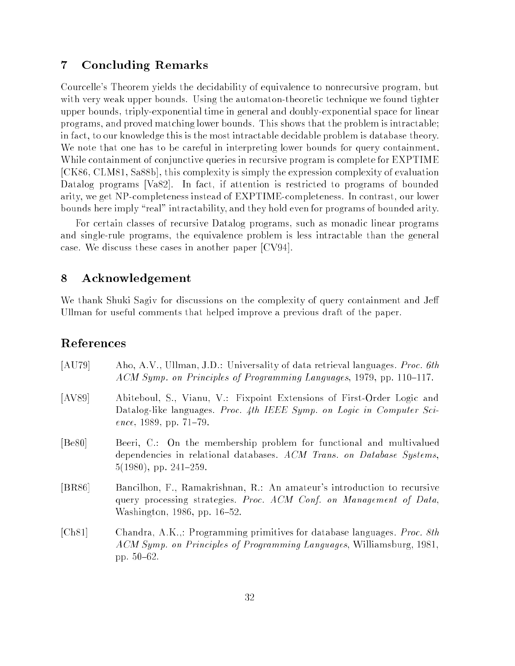# 7 Concluding Remarks

Courcelle's Theorem yields the decidability of equivalence to nonrecursive program, but with very weak upper bounds. Using the automaton-theoretic technique we found tighter upper bounds, triply-exponential time in general and doubly-exponential space for linear programs, and proved matching lower bounds. This shows that the problem is intractable; in fact, to our knowledge this is the most intractable decidable problem is database theory. We note that one has to be careful in interpreting lower bounds for query containment. While containment of conjunctive queries in recursive program is complete for EXPTIME [CK86, CLM81, Sa88b], this complexity is simply the expression complexity of evaluation Datalog programs [Va82]. In fact, if attention is restricted to programs of bounded arity, we get NP-completeness instead of EXPTIME-completeness. In contrast, our lower bounds here imply "real" intractability, and they hold even for programs of bounded arity.

For certain classes of recursive Datalog programs, such as monadic linear programs and single-rule programs, the equivalence problem is less intractable than the general case. We discuss these cases in another paper [CV94].

#### 8  ${\bf Acknowledgement}$

We thank Shuki Sagiv for discussions on the complexity of query containment and Je Ullman for useful comments that helped improve a previous draft of the paper.

### References

| [AU79] | Aho, A.V., Ullman, J.D.: Universality of data retrieval languages. <i>Proc. 6th</i><br>ACM Symp. on Principles of Programming Languages, 1979, pp. 110–117.                    |
|--------|--------------------------------------------------------------------------------------------------------------------------------------------------------------------------------|
| [AV89] | Abiteboul, S., Vianu, V.: Fixpoint Extensions of First-Order Logic and<br>Datalog-like languages. Proc. 4th IEEE Symp. on Logic in Computer Sci-<br>ence, 1989, pp. $71-79$ .  |
| [Be80] | Beeri, C.: On the membership problem for functional and multivalued<br>dependencies in relational databases. ACM Trans. on Database Systems,<br>$5(1980)$ , pp. 241-259.       |
| [BR86] | Bancilhon, F., Ramakrishnan, R.: An amateur's introduction to recursive<br>query processing strategies. Proc. ACM Conf. on Management of Data,<br>Washington, 1986, pp. 16–52. |
| [Ch81] | Chandra, A.K.,: Programming primitives for database languages. Proc. 8th<br>ACM Symp. on Principles of Programming Languages, Williamsburg, 1981,<br>pp. $50-62$ .             |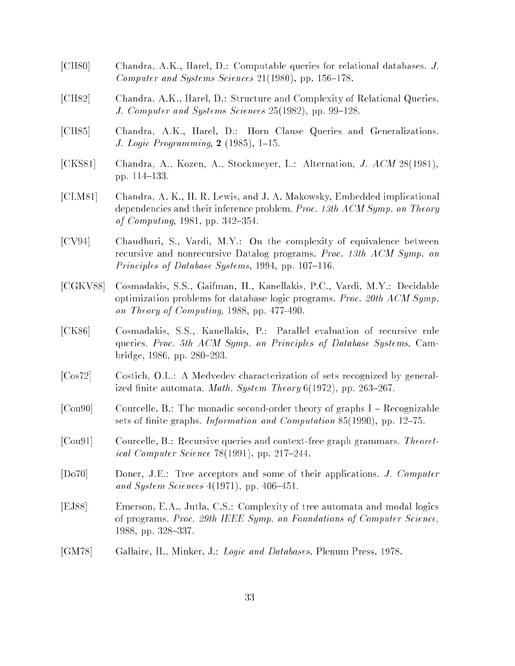- [CH80] Chandra, A.K., Harel, D.: Computable queries for relational databases. J. Computer and Systems Sciences  $21(1980)$ , pp. 156-178.
- [CH82] Chandra, A.K., Harel, D.: Structure and Complexity of Relational Queries. J. Computer and Systems Sciences  $25(1982)$ , pp. 99-128.
- [CH85] Chandra, A.K., Harel, D.: Horn Clause Queries and Generalizations. J. Logic Programming,  $2(1985)$ , 1-15.
- [CKS81] Chandra, A., Kozen, A., Stockmeyer, L.: Alternation, J. ACM 28(1981), pp. 114-133.
- [CLM81] Chandra, A. K., H. R. Lewis, and J. A. Makowsky, Embedded implicational dependencies and their inference problem. Proc. 13th  $ACM$  Symp. on Theory of Computing,  $1981$ , pp.  $342{-}354$ .
- [CV94] Chaudhuri, S., Vardi, M.Y.: On the complexity of equivalence between recursive and nonrecursive Datalog programs. Proc. 13th ACM Symp. on Principles of Database Systems, 1994, pp. 107-116.
- [CGKV88] Cosmadakis, S.S., Gaifman, H., Kanellakis, P.C., Vardi, M.Y.: Decidable optimization problems for database logic programs. Proc. 20th ACM Symp. on Theory of Computing, 1988, pp. 477-490.
- [CK86] Cosmadakis, S.S., Kanellakis, P.: Parallel evaluation of recursive rule queries. Proc. 5th ACM Symp. on Principles of Database Systems, Cambridge, 1986, pp. 280-293.
- [Cos72] Costich, O.L.: A Medvedev characterization of sets recognized by generalized finite automata. *Math. System Theory*  $6(1972)$ , pp. 263–267.
- $[$ Cou90 $]$  Courcelle, B.: The monadic second-order theory of graphs I Recognizable sets of finite graphs. Information and Computation  $85(1990)$ , pp. 12-75.
- [Cou91] Courcelle, B.: Recursive queries and context-free graph grammars. Theoretical Computer Science  $78(1991)$ , pp. 217-244.
- [Do70] Doner, J.E.: Tree acceptors and some of their applications. J. Computer and System Sciences  $4(1971)$ , pp.  $406-451$ .
- [EJ88] Emerson, E.A., Jutla, C.S.: Complexity of tree automata and modal logics of programs. Proc. 29th IEEE Symp. on Foundations of Computer Science, 1988, pp. 328-337.
- [GM78] Gallaire, H., Minker, J.: Logic and Databases. Plenum Press, 1978.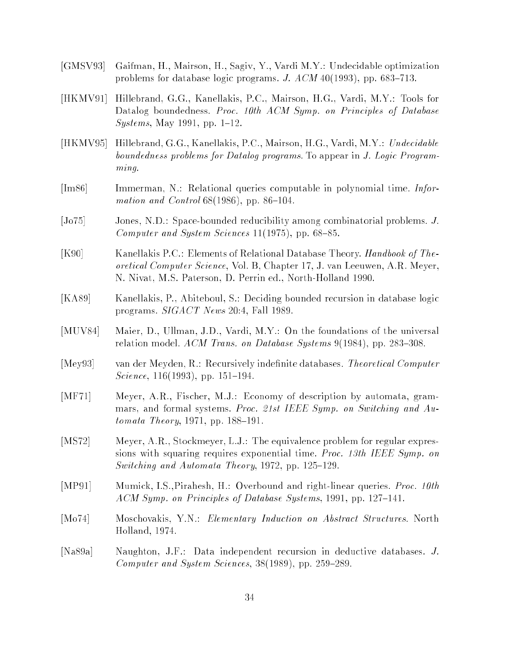- [GMSV93] Gaifman, H., Mairson, H., Sagiv, Y., Vardi M.Y.: Undecidable optimization problems for database logic programs. J.  $ACM$  40(1993), pp. 683–713.
- [HKMV91] Hillebrand, G.G., Kanellakis, P.C., Mairson, H.G., Vardi, M.Y.: Tools for Datalog boundedness. Proc. 10th ACM Symp. on Principles of Database Systems, May 1991, pp.  $1–12$ .
- [HKMV95] Hillebrand, G.G., Kanellakis, P.C., Mairson, H.G., Vardi, M.Y.: Undecidable boundedness problems for Datalog programs. To appear in J. Logic Program $ming.$
- [Im86] Immerman, N.: Relational queries computable in polynomial time. Information and Control  $68(1986)$ , pp.  $86-104$ .
- [Jo75] Jones, N.D.: Space-bounded reducibility among combinatorial problems. J. Computer and System Sciences  $11(1975)$ , pp. 68–85.
- [K90] Kanellakis P.C.: Elements of Relational Database Theory. *Handbook of The*oretical Computer Science, Vol. B, Chapter 17, J. van Leeuwen, A.R. Meyer, N. Nivat, M.S. Paterson, D. Perrin ed., North-Holland 1990.
- [KA89] Kanellakis, P., Abiteboul, S.: Deciding bounded recursion in database logic programs. SIGACT News 20:4, Fall 1989.
- [MUV84] Maier, D., Ullman, J.D., Vardi, M.Y.: On the foundations of the universal relation model. ACM Trans. on Database Systems  $9(1984)$ , pp. 283-308.
- [Mey93] van der Meyden, R.: Recursively indefinite databases. Theoretical Computer *Science*, 116(1993), pp. 151-194.
- [MF71] Meyer, A.R., Fischer, M.J.: Economy of description by automata, grammars, and formal systems. Proc. 21st IEEE Symp. on Switching and Au $tomata$  Theory, 1971, pp. 188-191.
- [MS72] Meyer, A.R., Stockmeyer, L.J.: The equivalence problem for regular expressions with squaring requires exponential time. Proc. 13th IEEE Symp. on Switching and Automata Theory, 1972, pp.  $125{-}129$ .
- [MP91] Mumick, I.S.,Pirahesh, H.: Overbound and right-linear queries. Proc. 10th  $ACM$  Symp. on Principles of Database Systems, 1991, pp. 127-141.
- [Mo74] Moschovakis, Y.N.: Elementary Induction on Abstract Structures. North Holland, 1974.
- [Na89a] Naughton, J.F.: Data independent recursion in deductive databases. J. Computer and System Sciences,  $38(1989)$ , pp.  $259-289$ .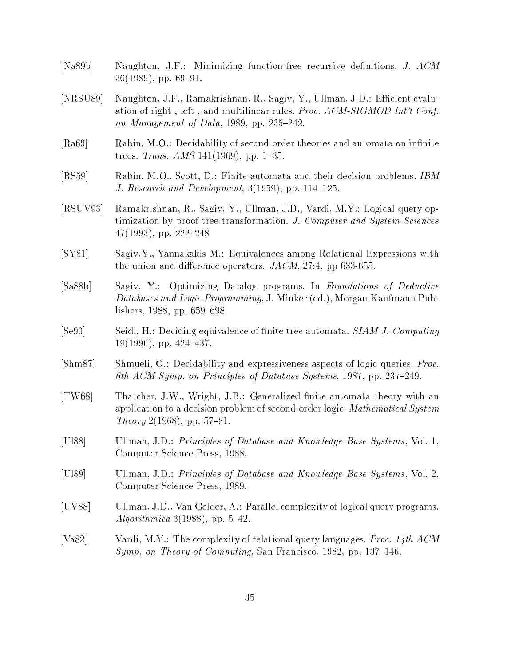- [Na89b] Naughton, J.F.: Minimizing function-free recursive denitions. J. ACM  $36(1989)$ , pp. 69-91.
- [NRSU89] Naughton, J.F., Ramakrishnan, R., Sagiv, Y., Ullman, J.D.: Efficient evaluation of right, left, and multilinear rules. Proc. ACM-SIGMOD Int'l Conf. on Management of Data, 1989, pp. 235–242.
- [Ra69] Rabin, M.O.: Decidability of second-order theories and automata on infinite trees. *Trans. AMS* 141(1969), pp. 1-35.
- [RS59] Rabin, M.O., Scott, D.: Finite automata and their decision problems. IBM J. Research and Development,  $3(1959)$ , pp.  $114–125$ .
- [RSUV93] Ramakrishnan, R., Sagiv, Y., Ullman, J.D., Vardi, M.Y.: Logical query optimization by proof-tree transformation. J. Computer and System Sciences  $47(1993)$ , pp.  $222-248$
- [SY81] Sagiv,Y., Yannakakis M.: Equivalences among Relational Expressions with the union and difference operators.  $JACM$ , 27:4, pp 633-655.
- [Sa88b] Sagiv, Y.: Optimizing Datalog programs. In Foundations of Deductive Databases and Logic Programming, J. Minker (ed.), Morgan Kaufmann Publishers, 1988, pp.  $659-698$ .
- [Se90] Seidl, H.: Deciding equivalence of finite tree automata. SIAM J. Computing  $19(1990)$ , pp. 424-437.
- [Shm87] Shmueli, O.: Decidability and expressiveness aspects of logic queries. Proc. 6th ACM Symp. on Principles of Database Systems, 1987, pp. 237-249.
- [TW68] Thatcher, J.W., Wright, J.B.: Generalized nite automata theory with an application to a decision problem of second-order logic. Mathematical System Theory 2(1968), pp. 57-81.
- [Ul88] Ullman, J.D.: *Principles of Database and Knowledge Base Systems*, Vol. 1, Computer Science Press, 1988.
- [Ul89] Ullman, J.D.: Principles of Database and Knowledge Base Systems, Vol. 2, Computer Science Press, 1989.
- [UV88] Ullman, J.D., Van Gelder, A.: Parallel complexity of logical query programs. Algorithmica 3(1988), pp.  $5-42$ .
- [Va82] Vardi, M.Y.: The complexity of relational query languages. *Proc. 14th ACM* Symp. on Theory of Computing, San Francisco, 1982, pp. 137–146.